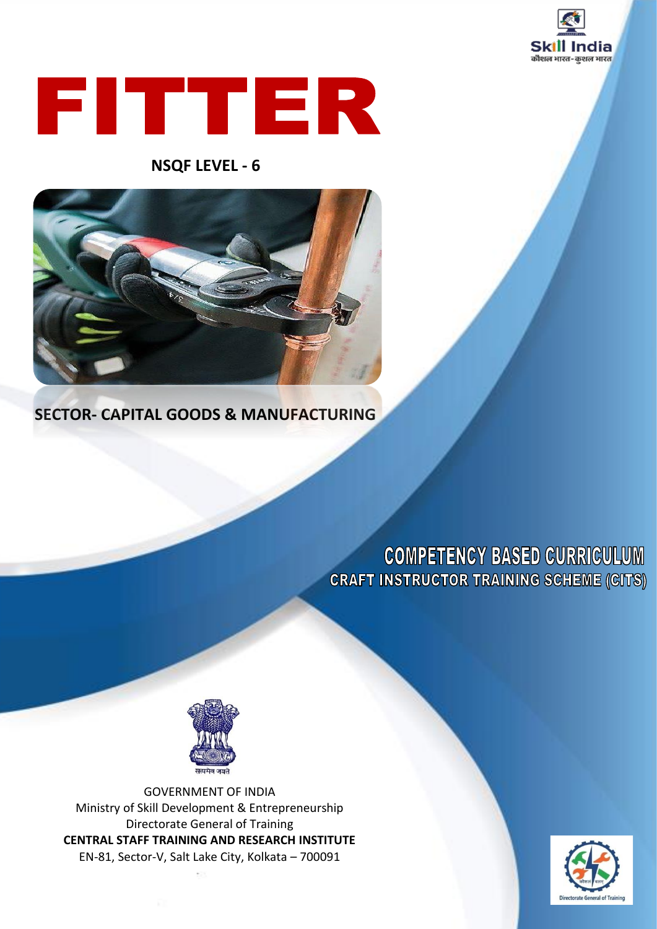



### **NSQF LEVEL - 6**



### **SECTOR- CAPITAL GOODS & MANUFACTURING**

# **COMPETENCY BASED CURRICULUM CRAFT INSTRUCTOR TRAINING SCHEME (CITS)**



GOVERNMENT OF INDIA Ministry of Skill Development & Entrepreneurship Directorate General of Training **CENTRAL STAFF TRAINING AND RESEARCH INSTITUTE** EN-81, Sector-V, Salt Lake City, Kolkata – 700091

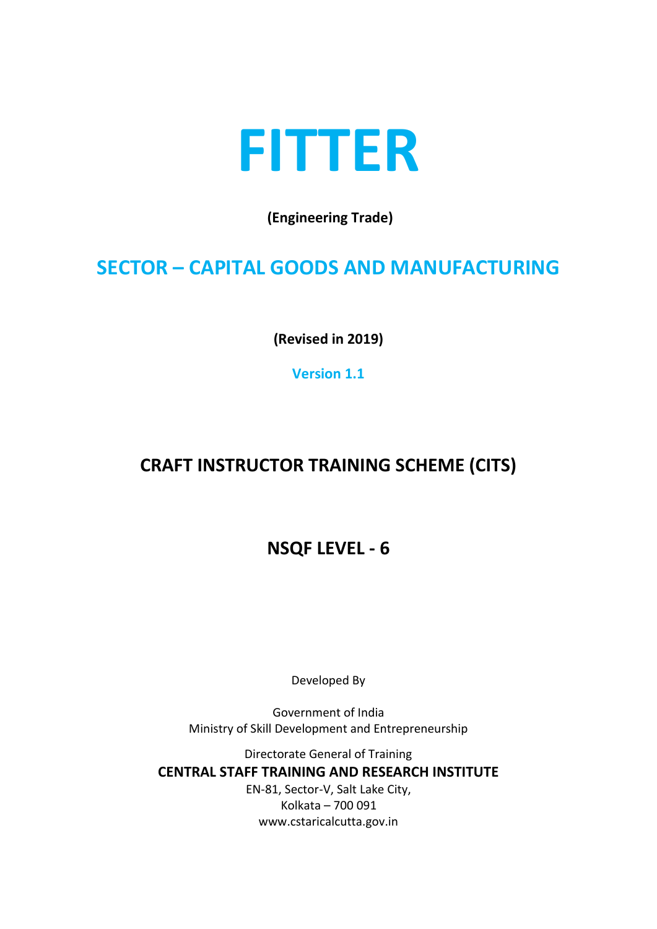

**(Engineering Trade)**

# **SECTOR – CAPITAL GOODS AND MANUFACTURING**

**(Revised in 2019)**

**Version 1.1**

# **CRAFT INSTRUCTOR TRAINING SCHEME (CITS)**

**NSQF LEVEL - 6**

Developed By

Government of India Ministry of Skill Development and Entrepreneurship

Directorate General of Training **CENTRAL STAFF TRAINING AND RESEARCH INSTITUTE** EN-81, Sector-V, Salt Lake City, Kolkata – 700 091 www.cstaricalcutta.gov.in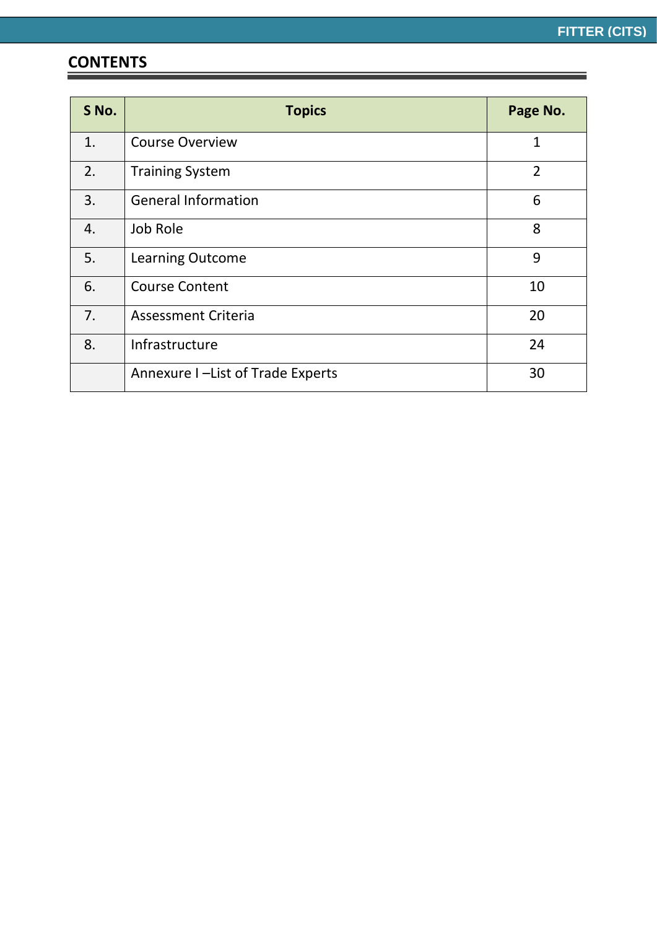# **CONTENTS**

| S No. | <b>Topics</b>                     | Page No.       |
|-------|-----------------------------------|----------------|
| 1.    | <b>Course Overview</b>            | 1              |
| 2.    | <b>Training System</b>            | $\overline{2}$ |
| 3.    | <b>General Information</b>        | 6              |
| 4.    | Job Role                          | 8              |
| 5.    | <b>Learning Outcome</b>           | 9              |
| 6.    | <b>Course Content</b>             | 10             |
| 7.    | <b>Assessment Criteria</b>        | 20             |
| 8.    | Infrastructure                    | 24             |
|       | Annexure I -List of Trade Experts | 30             |

<u> 1989 - Andrea Barbara, Amerikaansk politiker (</u>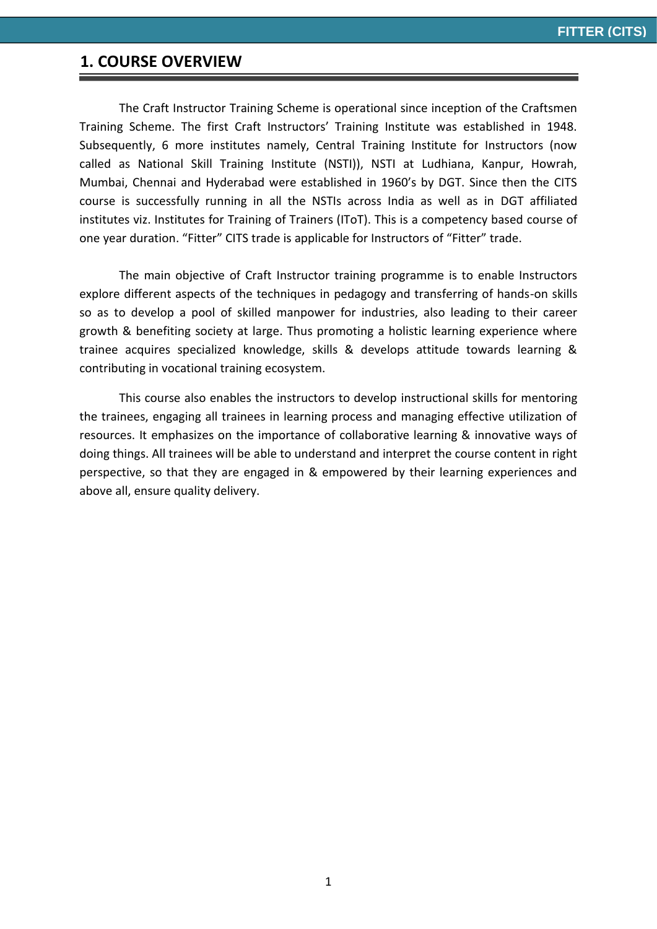#### **1. COURSE OVERVIEW**

The Craft Instructor Training Scheme is operational since inception of the Craftsmen Training Scheme. The first Craft Instructors' Training Institute was established in 1948. Subsequently, 6 more institutes namely, Central Training Institute for Instructors (now called as National Skill Training Institute (NSTI)), NSTI at Ludhiana, Kanpur, Howrah, Mumbai, Chennai and Hyderabad were established in 1960's by DGT. Since then the CITS course is successfully running in all the NSTIs across India as well as in DGT affiliated institutes viz. Institutes for Training of Trainers (IToT). This is a competency based course of one year duration. "Fitter" CITS trade is applicable for Instructors of "Fitter" trade.

The main objective of Craft Instructor training programme is to enable Instructors explore different aspects of the techniques in pedagogy and transferring of hands-on skills so as to develop a pool of skilled manpower for industries, also leading to their career growth & benefiting society at large. Thus promoting a holistic learning experience where trainee acquires specialized knowledge, skills & develops attitude towards learning & contributing in vocational training ecosystem.

This course also enables the instructors to develop instructional skills for mentoring the trainees, engaging all trainees in learning process and managing effective utilization of resources. It emphasizes on the importance of collaborative learning & innovative ways of doing things. All trainees will be able to understand and interpret the course content in right perspective, so that they are engaged in & empowered by their learning experiences and above all, ensure quality delivery.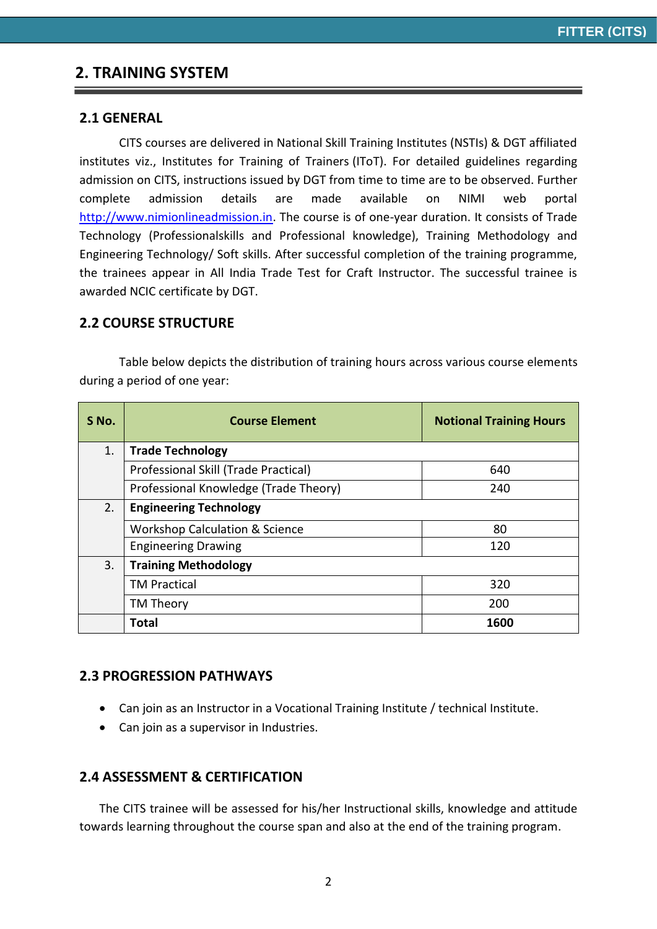### **2. TRAINING SYSTEM**

#### **2.1 GENERAL**

CITS courses are delivered in National Skill Training Institutes (NSTIs) & DGT affiliated institutes viz., Institutes for Training of Trainers (IToT). For detailed guidelines regarding admission on CITS, instructions issued by DGT from time to time are to be observed. Further complete admission details are made available on NIMI web portal [http://www.nimionlineadmission.in.](http://www.nimionlineadmission.in/) The course is of one-year duration. It consists of Trade Technology (Professionalskills and Professional knowledge), Training Methodology and Engineering Technology/ Soft skills. After successful completion of the training programme, the trainees appear in All India Trade Test for Craft Instructor. The successful trainee is awarded NCIC certificate by DGT.

#### **2.2 COURSE STRUCTURE**

Table below depicts the distribution of training hours across various course elements during a period of one year:

| S No. | <b>Course Element</b>                     | <b>Notional Training Hours</b> |  |  |  |  |  |  |
|-------|-------------------------------------------|--------------------------------|--|--|--|--|--|--|
| 1.    | <b>Trade Technology</b>                   |                                |  |  |  |  |  |  |
|       | Professional Skill (Trade Practical)      | 640                            |  |  |  |  |  |  |
|       | Professional Knowledge (Trade Theory)     | 240                            |  |  |  |  |  |  |
| 2.    | <b>Engineering Technology</b>             |                                |  |  |  |  |  |  |
|       | <b>Workshop Calculation &amp; Science</b> | 80                             |  |  |  |  |  |  |
|       | <b>Engineering Drawing</b>                | 120                            |  |  |  |  |  |  |
| 3.    | <b>Training Methodology</b>               |                                |  |  |  |  |  |  |
|       | <b>TM Practical</b>                       | 320                            |  |  |  |  |  |  |
|       | TM Theory                                 | 200                            |  |  |  |  |  |  |
|       | Total                                     | 1600                           |  |  |  |  |  |  |

#### **2.3 PROGRESSION PATHWAYS**

- Can join as an Instructor in a Vocational Training Institute / technical Institute.
- Can join as a supervisor in Industries.

#### **2.4 ASSESSMENT & CERTIFICATION**

The CITS trainee will be assessed for his/her Instructional skills, knowledge and attitude towards learning throughout the course span and also at the end of the training program.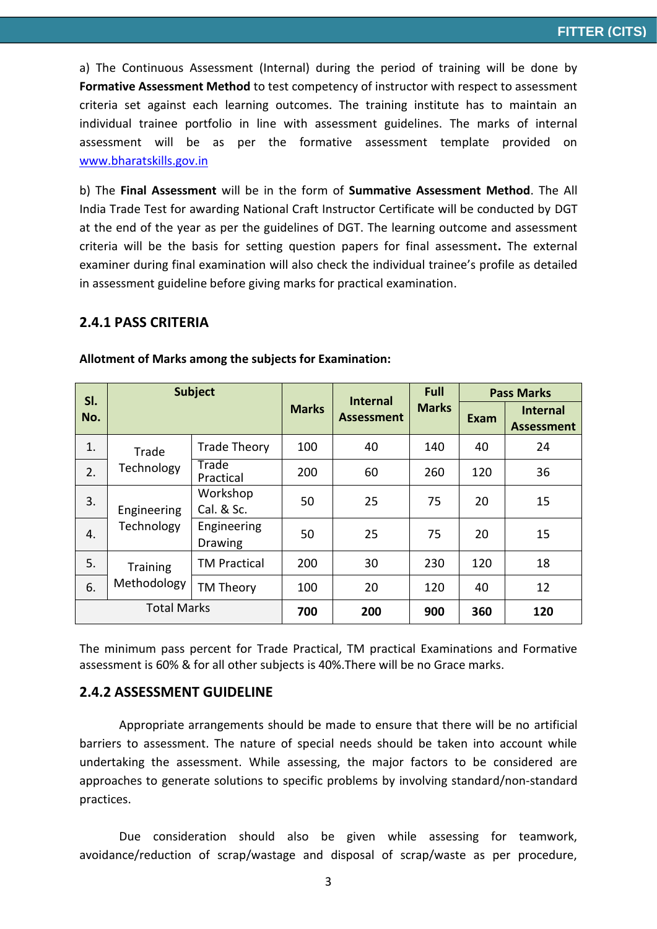a) The Continuous Assessment (Internal) during the period of training will be done by **Formative Assessment Method** to test competency of instructor with respect to assessment criteria set against each learning outcomes. The training institute has to maintain an individual trainee portfolio in line with assessment guidelines. The marks of internal assessment will be as per the formative assessment template provided on [www.bharatskills.gov.in](http://www.bharatskills.gov.in/)

b) The **Final Assessment** will be in the form of **Summative Assessment Method**. The All India Trade Test for awarding National Craft Instructor Certificate will be conducted by DGT at the end of the year as per the guidelines of DGT. The learning outcome and assessment criteria will be the basis for setting question papers for final assessment**.** The external examiner during final examination will also check the individual trainee's profile as detailed in assessment guideline before giving marks for practical examination.

#### **2.4.1 PASS CRITERIA**

| SI.                |                 | <b>Subject</b>                |              | <b>Internal</b>   | Full         | <b>Pass Marks</b> |                                      |
|--------------------|-----------------|-------------------------------|--------------|-------------------|--------------|-------------------|--------------------------------------|
| No.                |                 |                               | <b>Marks</b> | <b>Assessment</b> | <b>Marks</b> | Exam              | <b>Internal</b><br><b>Assessment</b> |
| 1.                 | Trade           | <b>Trade Theory</b>           | 100          | 40                | 140          | 40                | 24                                   |
| 2.                 | Technology      | Trade<br>Practical            | 200          | 60                | 260          | 120               | 36                                   |
| 3.                 | Engineering     | Workshop<br>Cal. & Sc.        | 50           | 25                | 75           | 20                | 15                                   |
| 4.                 | Technology      | Engineering<br><b>Drawing</b> | 50           | 25                | 75           | 20                | 15                                   |
| 5.                 | <b>Training</b> | <b>TM Practical</b>           | 200          | 30                | 230          | 120               | 18                                   |
| 6.                 | Methodology     | TM Theory                     | 100          | 20                | 120          | 40                | 12                                   |
| <b>Total Marks</b> |                 |                               | 700          | 200               | 900          | 360               | 120                                  |

**Allotment of Marks among the subjects for Examination:**

The minimum pass percent for Trade Practical, TM practical Examinations and Formative assessment is 60% & for all other subjects is 40%.There will be no Grace marks.

#### **2.4.2 ASSESSMENT GUIDELINE**

Appropriate arrangements should be made to ensure that there will be no artificial barriers to assessment. The nature of special needs should be taken into account while undertaking the assessment. While assessing, the major factors to be considered are approaches to generate solutions to specific problems by involving standard/non-standard practices.

Due consideration should also be given while assessing for teamwork, avoidance/reduction of scrap/wastage and disposal of scrap/waste as per procedure,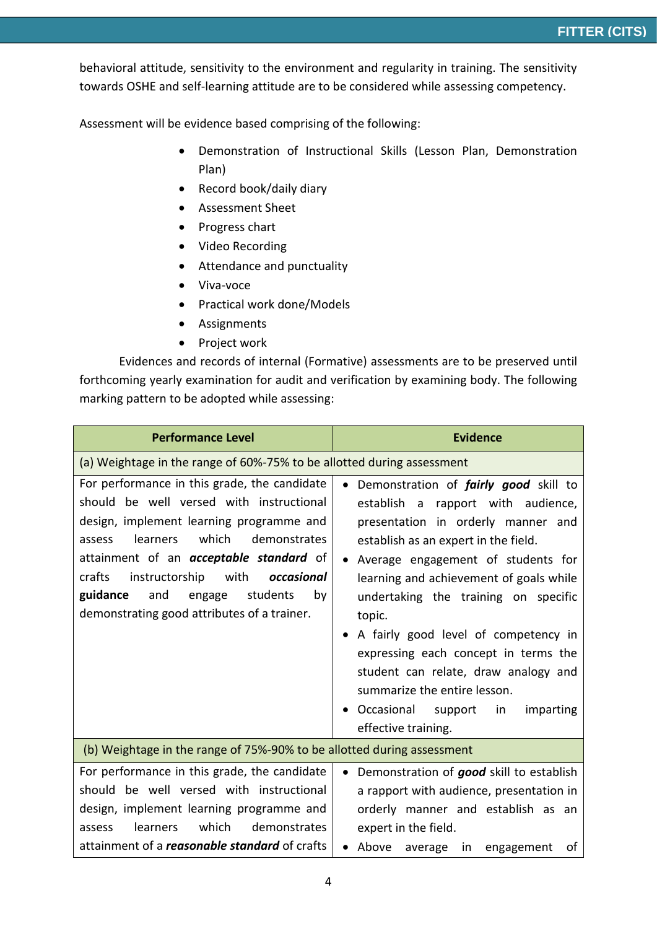behavioral attitude, sensitivity to the environment and regularity in training. The sensitivity towards OSHE and self-learning attitude are to be considered while assessing competency.

Assessment will be evidence based comprising of the following:

- Demonstration of Instructional Skills (Lesson Plan, Demonstration Plan)
- Record book/daily diary
- Assessment Sheet
- Progress chart
- Video Recording
- Attendance and punctuality
- Viva-voce
- Practical work done/Models
- Assignments
- Project work

Evidences and records of internal (Formative) assessments are to be preserved until forthcoming yearly examination for audit and verification by examining body. The following marking pattern to be adopted while assessing:

| <b>Performance Level</b>                                                                                                                                                                                                                                                                                                                                                           | <b>Evidence</b>                                                                                                                                                                                                                                                                                                                                                                                                                                                                                                             |
|------------------------------------------------------------------------------------------------------------------------------------------------------------------------------------------------------------------------------------------------------------------------------------------------------------------------------------------------------------------------------------|-----------------------------------------------------------------------------------------------------------------------------------------------------------------------------------------------------------------------------------------------------------------------------------------------------------------------------------------------------------------------------------------------------------------------------------------------------------------------------------------------------------------------------|
| (a) Weightage in the range of 60%-75% to be allotted during assessment                                                                                                                                                                                                                                                                                                             |                                                                                                                                                                                                                                                                                                                                                                                                                                                                                                                             |
| For performance in this grade, the candidate<br>should be well versed with instructional<br>design, implement learning programme and<br>learners<br>which<br>demonstrates<br>assess<br>attainment of an <i>acceptable standard</i> of<br>crafts<br>instructorship with<br>occasional<br>guidance<br>students<br>and<br>by<br>engage<br>demonstrating good attributes of a trainer. | Demonstration of <i>fairly good</i> skill to<br>establish a rapport with audience,<br>presentation in orderly manner and<br>establish as an expert in the field.<br>Average engagement of students for<br>learning and achievement of goals while<br>undertaking the training on specific<br>topic.<br>A fairly good level of competency in<br>expressing each concept in terms the<br>student can relate, draw analogy and<br>summarize the entire lesson.<br>Occasional support<br>imparting<br>in<br>effective training. |
| (b) Weightage in the range of 75%-90% to be allotted during assessment                                                                                                                                                                                                                                                                                                             |                                                                                                                                                                                                                                                                                                                                                                                                                                                                                                                             |
| For performance in this grade, the candidate<br>should be well versed with instructional<br>design, implement learning programme and<br>which<br>learners<br>demonstrates<br>assess<br>attainment of a <i>reasonable standard</i> of crafts                                                                                                                                        | Demonstration of good skill to establish<br>$\bullet$<br>a rapport with audience, presentation in<br>orderly manner and establish as an<br>expert in the field.                                                                                                                                                                                                                                                                                                                                                             |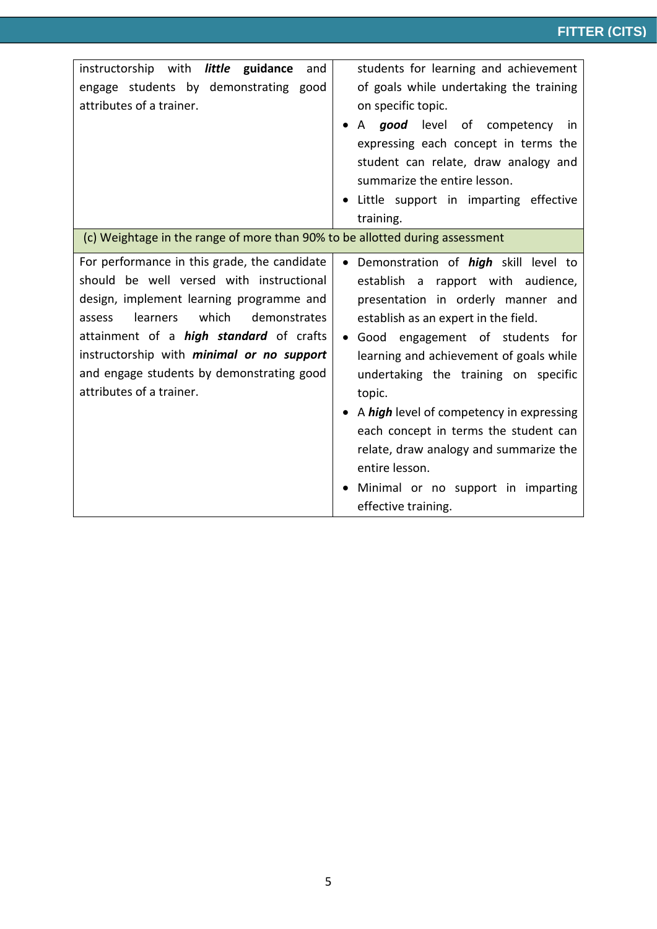| instructorship with little guidance<br>and<br>engage students by demonstrating good<br>attributes of a trainer.                                                                                                                                                                                                                                                    | students for learning and achievement<br>of goals while undertaking the training<br>on specific topic.<br>A good level of competency in<br>expressing each concept in terms the<br>student can relate, draw analogy and<br>summarize the entire lesson.<br>Little support in imparting effective                                                                                                                                                                                                                           |
|--------------------------------------------------------------------------------------------------------------------------------------------------------------------------------------------------------------------------------------------------------------------------------------------------------------------------------------------------------------------|----------------------------------------------------------------------------------------------------------------------------------------------------------------------------------------------------------------------------------------------------------------------------------------------------------------------------------------------------------------------------------------------------------------------------------------------------------------------------------------------------------------------------|
| (c) Weightage in the range of more than 90% to be allotted during assessment                                                                                                                                                                                                                                                                                       | training.                                                                                                                                                                                                                                                                                                                                                                                                                                                                                                                  |
| For performance in this grade, the candidate<br>should be well versed with instructional<br>design, implement learning programme and<br>which<br>demonstrates<br><b>learners</b><br>assess<br>attainment of a <i>high standard</i> of crafts<br>instructorship with minimal or no support<br>and engage students by demonstrating good<br>attributes of a trainer. | Demonstration of <i>high</i> skill level to<br>establish a rapport with audience,<br>presentation in orderly manner and<br>establish as an expert in the field.<br>Good engagement of students for<br>$\bullet$<br>learning and achievement of goals while<br>undertaking the training on specific<br>topic.<br>A high level of competency in expressing<br>each concept in terms the student can<br>relate, draw analogy and summarize the<br>entire lesson.<br>Minimal or no support in imparting<br>effective training. |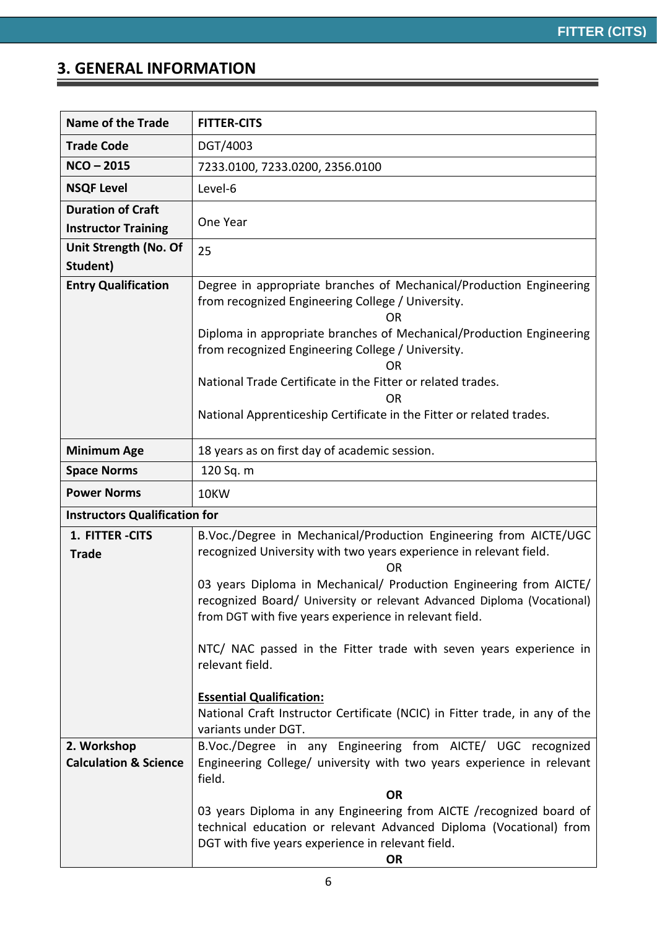Ξ

### **3. GENERAL INFORMATION**

| <b>Name of the Trade</b>                               | <b>FITTER-CITS</b>                                                                                                                                                                                           |
|--------------------------------------------------------|--------------------------------------------------------------------------------------------------------------------------------------------------------------------------------------------------------------|
| <b>Trade Code</b>                                      | DGT/4003                                                                                                                                                                                                     |
| $NCO - 2015$                                           | 7233.0100, 7233.0200, 2356.0100                                                                                                                                                                              |
| <b>NSQF Level</b>                                      | Level-6                                                                                                                                                                                                      |
| <b>Duration of Craft</b><br><b>Instructor Training</b> | One Year                                                                                                                                                                                                     |
| Unit Strength (No. Of<br>Student)                      | 25                                                                                                                                                                                                           |
| <b>Entry Qualification</b>                             | Degree in appropriate branches of Mechanical/Production Engineering<br>from recognized Engineering College / University.<br>ΩR                                                                               |
|                                                        | Diploma in appropriate branches of Mechanical/Production Engineering<br>from recognized Engineering College / University.<br><b>OR</b>                                                                       |
|                                                        | National Trade Certificate in the Fitter or related trades.<br>0 <sub>R</sub>                                                                                                                                |
|                                                        | National Apprenticeship Certificate in the Fitter or related trades.                                                                                                                                         |
| <b>Minimum Age</b>                                     | 18 years as on first day of academic session.                                                                                                                                                                |
| <b>Space Norms</b>                                     | 120 Sq. m                                                                                                                                                                                                    |
| <b>Power Norms</b>                                     | 10KW                                                                                                                                                                                                         |
| <b>Instructors Qualification for</b>                   |                                                                                                                                                                                                              |
| 1. FITTER - CITS<br><b>Trade</b>                       | B.Voc./Degree in Mechanical/Production Engineering from AICTE/UGC<br>recognized University with two years experience in relevant field.<br>ΩR                                                                |
|                                                        | 03 years Diploma in Mechanical/ Production Engineering from AICTE/<br>recognized Board/ University or relevant Advanced Diploma (Vocational)<br>from DGT with five years experience in relevant field.       |
|                                                        | NTC/ NAC passed in the Fitter trade with seven years experience in<br>relevant field.                                                                                                                        |
|                                                        | <b>Essential Qualification:</b><br>National Craft Instructor Certificate (NCIC) in Fitter trade, in any of the<br>variants under DGT.                                                                        |
| 2. Workshop<br><b>Calculation &amp; Science</b>        | B.Voc./Degree in any Engineering from AICTE/ UGC recognized<br>Engineering College/ university with two years experience in relevant<br>field.<br><b>OR</b>                                                  |
|                                                        | 03 years Diploma in any Engineering from AICTE / recognized board of<br>technical education or relevant Advanced Diploma (Vocational) from<br>DGT with five years experience in relevant field.<br><b>OR</b> |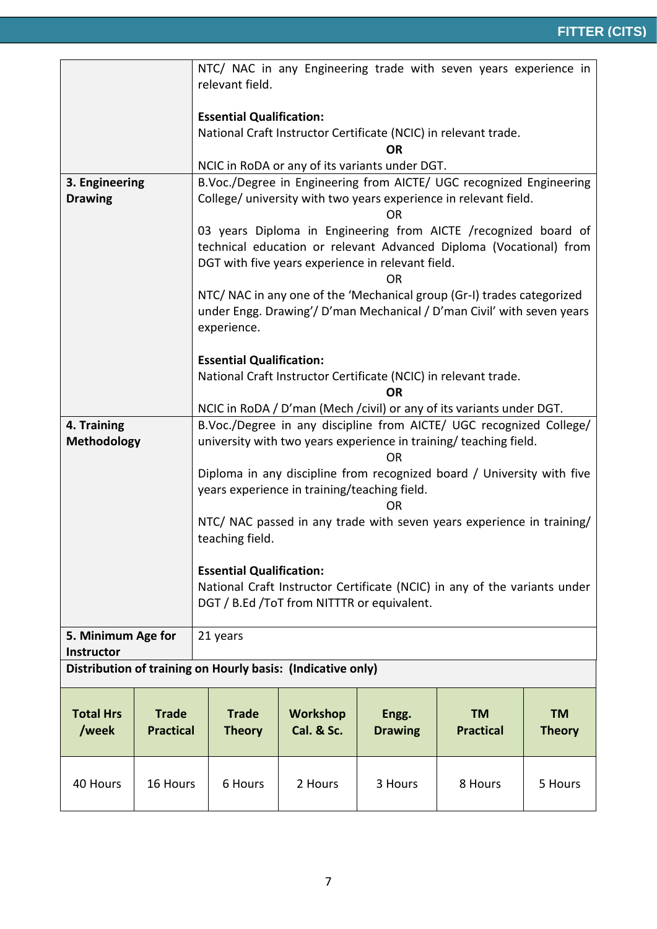|                                                               |          | NTC/ NAC in any Engineering trade with seven years experience in                                                                                                |                                          |                         |                                                                                                                                         |                            |  |  |
|---------------------------------------------------------------|----------|-----------------------------------------------------------------------------------------------------------------------------------------------------------------|------------------------------------------|-------------------------|-----------------------------------------------------------------------------------------------------------------------------------------|----------------------------|--|--|
|                                                               |          | relevant field.                                                                                                                                                 |                                          |                         |                                                                                                                                         |                            |  |  |
|                                                               |          | <b>Essential Qualification:</b>                                                                                                                                 |                                          |                         |                                                                                                                                         |                            |  |  |
|                                                               |          |                                                                                                                                                                 |                                          | <b>OR</b>               | National Craft Instructor Certificate (NCIC) in relevant trade.                                                                         |                            |  |  |
|                                                               |          | NCIC in RoDA or any of its variants under DGT.                                                                                                                  |                                          |                         |                                                                                                                                         |                            |  |  |
| 3. Engineering<br><b>Drawing</b>                              |          |                                                                                                                                                                 |                                          | <b>OR</b>               | B.Voc./Degree in Engineering from AICTE/ UGC recognized Engineering<br>College/ university with two years experience in relevant field. |                            |  |  |
|                                                               |          | DGT with five years experience in relevant field.                                                                                                               |                                          | OR                      | 03 years Diploma in Engineering from AICTE /recognized board of<br>technical education or relevant Advanced Diploma (Vocational) from   |                            |  |  |
|                                                               |          | NTC/ NAC in any one of the 'Mechanical group (Gr-I) trades categorized<br>under Engg. Drawing'/ D'man Mechanical / D'man Civil' with seven years<br>experience. |                                          |                         |                                                                                                                                         |                            |  |  |
|                                                               |          | <b>Essential Qualification:</b>                                                                                                                                 |                                          |                         |                                                                                                                                         |                            |  |  |
|                                                               |          | National Craft Instructor Certificate (NCIC) in relevant trade.                                                                                                 |                                          |                         |                                                                                                                                         |                            |  |  |
|                                                               |          | OR<br>NCIC in RoDA / D'man (Mech / civil) or any of its variants under DGT.                                                                                     |                                          |                         |                                                                                                                                         |                            |  |  |
| 4. Training                                                   |          | B.Voc./Degree in any discipline from AICTE/ UGC recognized College/                                                                                             |                                          |                         |                                                                                                                                         |                            |  |  |
| <b>Methodology</b>                                            |          | university with two years experience in training/ teaching field.<br><b>OR</b>                                                                                  |                                          |                         |                                                                                                                                         |                            |  |  |
|                                                               |          | Diploma in any discipline from recognized board / University with five<br>years experience in training/teaching field.                                          |                                          |                         |                                                                                                                                         |                            |  |  |
|                                                               |          | <b>OR</b><br>NTC/ NAC passed in any trade with seven years experience in training/                                                                              |                                          |                         |                                                                                                                                         |                            |  |  |
|                                                               |          | teaching field.                                                                                                                                                 |                                          |                         |                                                                                                                                         |                            |  |  |
|                                                               |          | <b>Essential Qualification:</b>                                                                                                                                 |                                          |                         |                                                                                                                                         |                            |  |  |
|                                                               |          | National Craft Instructor Certificate (NCIC) in any of the variants under<br>DGT / B.Ed / To T from NITTTR or equivalent.                                       |                                          |                         |                                                                                                                                         |                            |  |  |
| 5. Minimum Age for                                            |          | 21 years                                                                                                                                                        |                                          |                         |                                                                                                                                         |                            |  |  |
| <b>Instructor</b>                                             |          |                                                                                                                                                                 |                                          |                         |                                                                                                                                         |                            |  |  |
|                                                               |          | Distribution of training on Hourly basis: (Indicative only)                                                                                                     |                                          |                         |                                                                                                                                         |                            |  |  |
| <b>Total Hrs</b><br><b>Trade</b><br>/week<br><b>Practical</b> |          | <b>Trade</b><br><b>Theory</b>                                                                                                                                   | <b>Workshop</b><br><b>Cal. &amp; Sc.</b> | Engg.<br><b>Drawing</b> | <b>TM</b><br><b>Practical</b>                                                                                                           | <b>TM</b><br><b>Theory</b> |  |  |
| 40 Hours                                                      | 16 Hours | 6 Hours                                                                                                                                                         | 2 Hours                                  | 3 Hours                 | 8 Hours                                                                                                                                 | 5 Hours                    |  |  |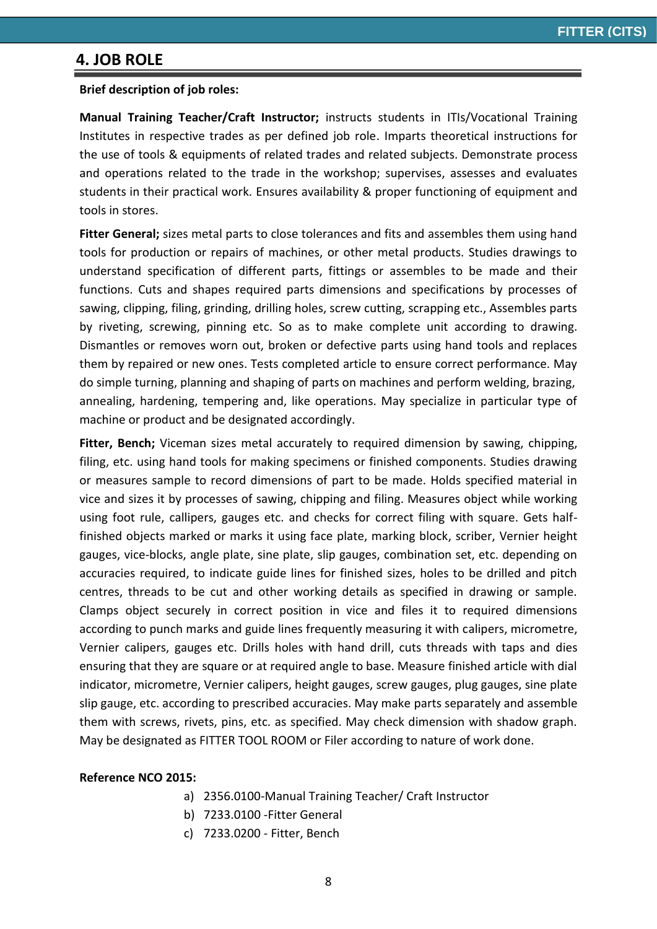### **4. JOB ROLE**

#### **Brief description of job roles:**

**Manual Training Teacher/Craft Instructor;** instructs students in ITIs/Vocational Training Institutes in respective trades as per defined job role. Imparts theoretical instructions for the use of tools & equipments of related trades and related subjects. Demonstrate process and operations related to the trade in the workshop; supervises, assesses and evaluates students in their practical work. Ensures availability & proper functioning of equipment and tools in stores.

**Fitter General;** sizes metal parts to close tolerances and fits and assembles them using hand tools for production or repairs of machines, or other metal products. Studies drawings to understand specification of different parts, fittings or assembles to be made and their functions. Cuts and shapes required parts dimensions and specifications by processes of sawing, clipping, filing, grinding, drilling holes, screw cutting, scrapping etc., Assembles parts by riveting, screwing, pinning etc. So as to make complete unit according to drawing. Dismantles or removes worn out, broken or defective parts using hand tools and replaces them by repaired or new ones. Tests completed article to ensure correct performance. May do simple turning, planning and shaping of parts on machines and perform welding, brazing, annealing, hardening, tempering and, like operations. May specialize in particular type of machine or product and be designated accordingly.

**Fitter, Bench;** Viceman sizes metal accurately to required dimension by sawing, chipping, filing, etc. using hand tools for making specimens or finished components. Studies drawing or measures sample to record dimensions of part to be made. Holds specified material in vice and sizes it by processes of sawing, chipping and filing. Measures object while working using foot rule, callipers, gauges etc. and checks for correct filing with square. Gets halffinished objects marked or marks it using face plate, marking block, scriber, Vernier height gauges, vice-blocks, angle plate, sine plate, slip gauges, combination set, etc. depending on accuracies required, to indicate guide lines for finished sizes, holes to be drilled and pitch centres, threads to be cut and other working details as specified in drawing or sample. Clamps object securely in correct position in vice and files it to required dimensions according to punch marks and guide lines frequently measuring it with calipers, micrometre, Vernier calipers, gauges etc. Drills holes with hand drill, cuts threads with taps and dies ensuring that they are square or at required angle to base. Measure finished article with dial indicator, micrometre, Vernier calipers, height gauges, screw gauges, plug gauges, sine plate slip gauge, etc. according to prescribed accuracies. May make parts separately and assemble them with screws, rivets, pins, etc. as specified. May check dimension with shadow graph. May be designated as FITTER TOOL ROOM or Filer according to nature of work done.

#### **Reference NCO 2015:**

- a) 2356.0100-Manual Training Teacher/ Craft Instructor
- b) 7233.0100 -Fitter General
- c) 7233.0200 Fitter, Bench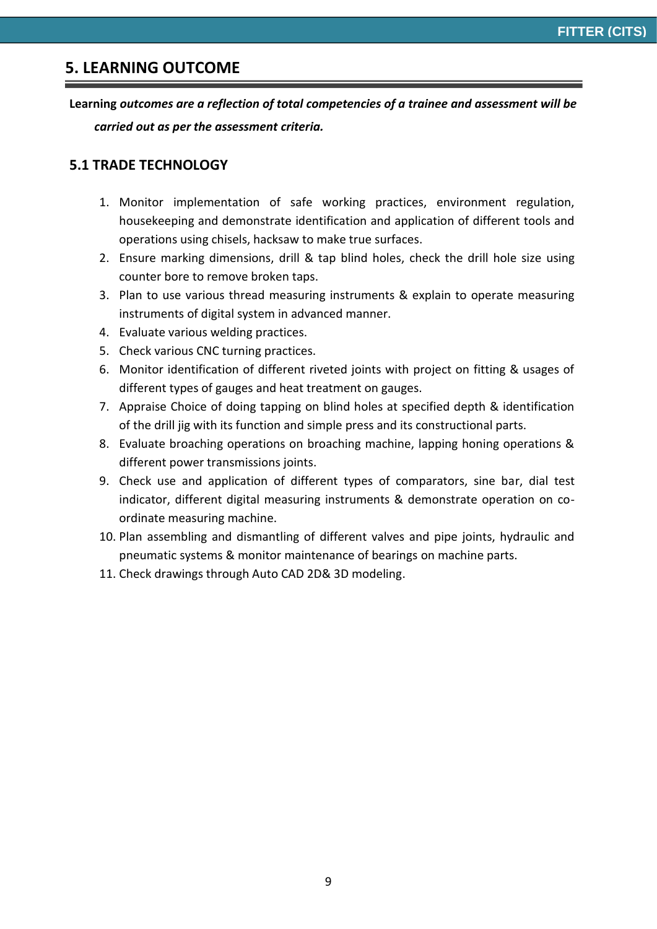### **5. LEARNING OUTCOME**

**Learning** *outcomes are a reflection of total competencies of a trainee and assessment will be carried out as per the assessment criteria.*

#### **5.1 TRADE TECHNOLOGY**

- 1. Monitor implementation of safe working practices, environment regulation, housekeeping and demonstrate identification and application of different tools and operations using chisels, hacksaw to make true surfaces.
- 2. Ensure marking dimensions, drill & tap blind holes, check the drill hole size using counter bore to remove broken taps.
- 3. Plan to use various thread measuring instruments & explain to operate measuring instruments of digital system in advanced manner.
- 4. Evaluate various welding practices.
- 5. Check various CNC turning practices.
- 6. Monitor identification of different riveted joints with project on fitting & usages of different types of gauges and heat treatment on gauges.
- 7. Appraise Choice of doing tapping on blind holes at specified depth & identification of the drill jig with its function and simple press and its constructional parts.
- 8. Evaluate broaching operations on broaching machine, lapping honing operations & different power transmissions joints.
- 9. Check use and application of different types of comparators, sine bar, dial test indicator, different digital measuring instruments & demonstrate operation on coordinate measuring machine.
- 10. Plan assembling and dismantling of different valves and pipe joints, hydraulic and pneumatic systems & monitor maintenance of bearings on machine parts.
- 11. Check drawings through Auto CAD 2D& 3D modeling.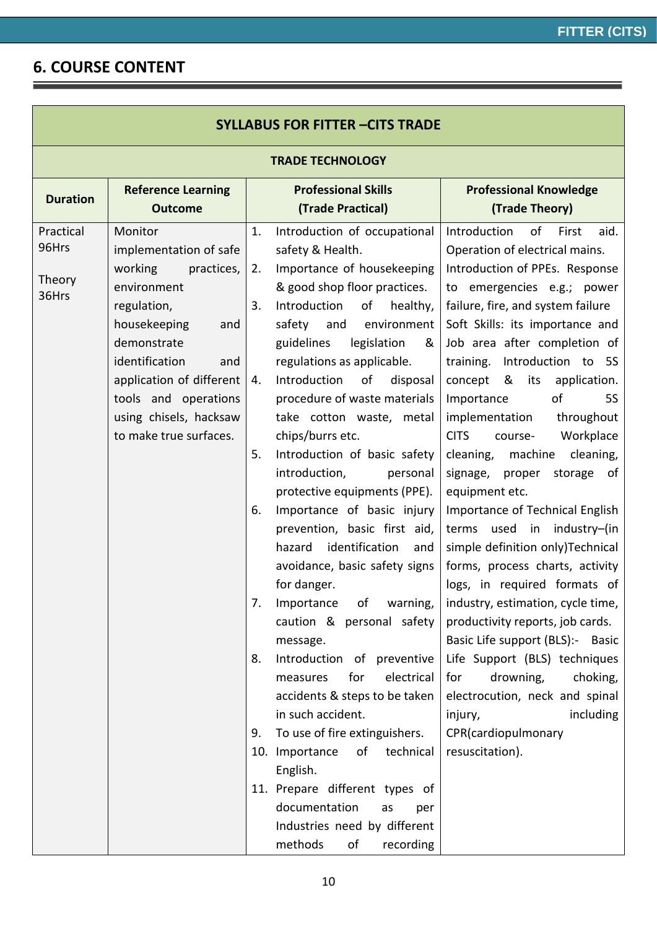## **6. COURSE CONTENT**

| <b>SYLLABUS FOR FITTER -CITS TRADE</b>                                                                                                                                                                                                                          |                                                    |                                                                                                                                                                                                                                                                                                                                                                                                                                                                                                                                                                                                                                                                                                                                                                                                                                                                                                           |                                                                                                                                                                                                                                                                                                                                                                                                                                                                                                                                                                                                                                                                                                                                                                                                                                                                                                                                                                                                   |  |  |  |
|-----------------------------------------------------------------------------------------------------------------------------------------------------------------------------------------------------------------------------------------------------------------|----------------------------------------------------|-----------------------------------------------------------------------------------------------------------------------------------------------------------------------------------------------------------------------------------------------------------------------------------------------------------------------------------------------------------------------------------------------------------------------------------------------------------------------------------------------------------------------------------------------------------------------------------------------------------------------------------------------------------------------------------------------------------------------------------------------------------------------------------------------------------------------------------------------------------------------------------------------------------|---------------------------------------------------------------------------------------------------------------------------------------------------------------------------------------------------------------------------------------------------------------------------------------------------------------------------------------------------------------------------------------------------------------------------------------------------------------------------------------------------------------------------------------------------------------------------------------------------------------------------------------------------------------------------------------------------------------------------------------------------------------------------------------------------------------------------------------------------------------------------------------------------------------------------------------------------------------------------------------------------|--|--|--|
| <b>TRADE TECHNOLOGY</b>                                                                                                                                                                                                                                         |                                                    |                                                                                                                                                                                                                                                                                                                                                                                                                                                                                                                                                                                                                                                                                                                                                                                                                                                                                                           |                                                                                                                                                                                                                                                                                                                                                                                                                                                                                                                                                                                                                                                                                                                                                                                                                                                                                                                                                                                                   |  |  |  |
| <b>Reference Learning</b><br><b>Outcome</b>                                                                                                                                                                                                                     |                                                    | <b>Professional Skills</b><br>(Trade Practical)                                                                                                                                                                                                                                                                                                                                                                                                                                                                                                                                                                                                                                                                                                                                                                                                                                                           | <b>Professional Knowledge</b><br>(Trade Theory)                                                                                                                                                                                                                                                                                                                                                                                                                                                                                                                                                                                                                                                                                                                                                                                                                                                                                                                                                   |  |  |  |
| Monitor<br>implementation of safe<br>working<br>practices,<br>environment<br>regulation,<br>housekeeping<br>and<br>demonstrate<br>identification<br>and<br>application of different<br>tools and operations<br>using chisels, hacksaw<br>to make true surfaces. | 1.<br>2.<br>3.<br>4.<br>5.<br>6.<br>7.<br>8.<br>9. | Introduction of occupational<br>safety & Health.<br>Importance of housekeeping<br>& good shop floor practices.<br>Introduction<br>of<br>healthy,<br>and environment<br>safety<br>guidelines<br>legislation<br>&<br>regulations as applicable.<br>Introduction<br>of<br>disposal<br>procedure of waste materials<br>take cotton waste, metal<br>chips/burrs etc.<br>Introduction of basic safety<br>introduction,<br>personal<br>protective equipments (PPE).<br>Importance of basic injury<br>prevention, basic first aid,<br>identification<br>hazard<br>and<br>avoidance, basic safety signs<br>for danger.<br>caution & personal safety<br>message.<br>Introduction of preventive<br>for<br>electrical<br>measures<br>accidents & steps to be taken<br>in such accident.<br>To use of fire extinguishers.<br>οf<br>technical<br>English.<br>documentation<br>as<br>per<br>Industries need by different | of<br>Introduction<br>First<br>aid.<br>Operation of electrical mains.<br>Introduction of PPEs. Response<br>to emergencies e.g.; power<br>failure, fire, and system failure<br>Soft Skills: its importance and<br>Job area after completion of<br>Introduction to 5S<br>training.<br>concept & its<br>application.<br>Importance<br>οf<br><b>5S</b><br>implementation<br>throughout<br>Workplace<br><b>CITS</b><br>course-<br>cleaning,<br>cleaning,<br>machine<br>signage, proper storage of<br>equipment etc.<br>Importance of Technical English<br>terms used in industry-(in<br>simple definition only)Technical<br>forms, process charts, activity<br>logs, in required formats of<br>Importance of warning,   industry, estimation, cycle time,<br>productivity reports, job cards.<br>Basic Life support (BLS):- Basic<br>Life Support (BLS) techniques<br>drowning,<br>choking,<br>for<br>electrocution, neck and spinal<br>including<br>injury,<br>CPR(cardiopulmonary<br>resuscitation). |  |  |  |
|                                                                                                                                                                                                                                                                 |                                                    |                                                                                                                                                                                                                                                                                                                                                                                                                                                                                                                                                                                                                                                                                                                                                                                                                                                                                                           | 10. Importance<br>11. Prepare different types of<br>methods<br>of<br>recording                                                                                                                                                                                                                                                                                                                                                                                                                                                                                                                                                                                                                                                                                                                                                                                                                                                                                                                    |  |  |  |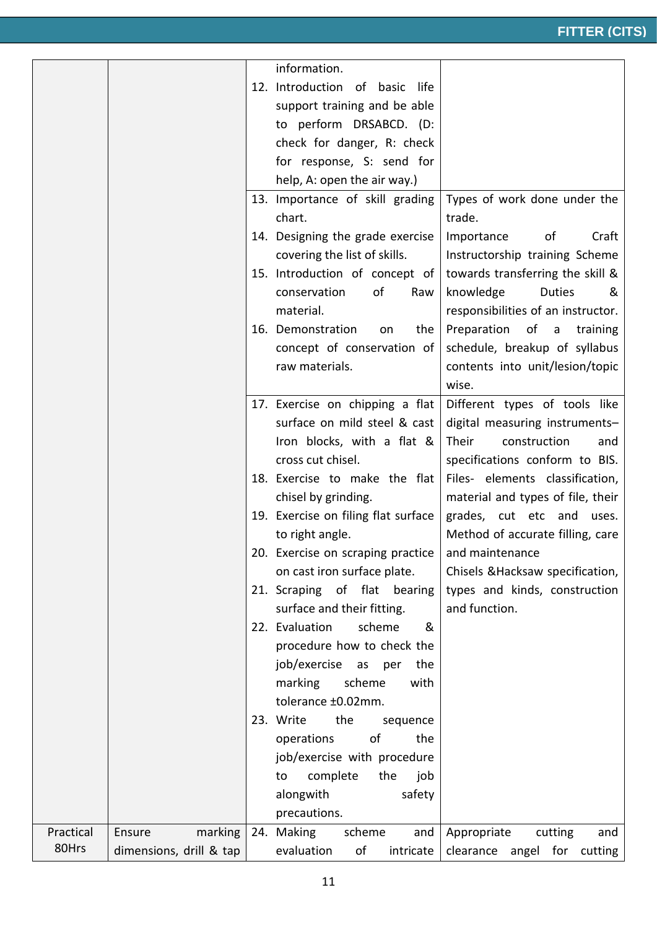|           |                         | information.                                        |                                    |
|-----------|-------------------------|-----------------------------------------------------|------------------------------------|
|           |                         | 12. Introduction of basic<br>life                   |                                    |
|           |                         | support training and be able                        |                                    |
|           |                         | to perform DRSABCD. (D:                             |                                    |
|           |                         | check for danger, R: check                          |                                    |
|           |                         | for response, S: send for                           |                                    |
|           |                         | help, A: open the air way.)                         |                                    |
|           |                         | 13. Importance of skill grading                     | Types of work done under the       |
|           |                         | chart.                                              | trade.                             |
|           |                         | 14. Designing the grade exercise                    | Importance<br>of<br>Craft          |
|           |                         | covering the list of skills.                        | Instructorship training Scheme     |
|           |                         | 15. Introduction of concept of                      | towards transferring the skill &   |
|           |                         | of<br>conservation<br>Raw                           | knowledge<br><b>Duties</b><br>&    |
|           |                         | material.                                           | responsibilities of an instructor. |
|           |                         | the<br>16. Demonstration<br>on                      | Preparation<br>of a<br>training    |
|           |                         | concept of conservation of                          | schedule, breakup of syllabus      |
|           |                         | raw materials.                                      | contents into unit/lesion/topic    |
|           |                         |                                                     | wise.                              |
|           |                         | 17. Exercise on chipping a flat                     | Different types of tools like      |
|           |                         | surface on mild steel & cast                        | digital measuring instruments-     |
|           |                         | Iron blocks, with a flat &                          | Their<br>construction<br>and       |
|           |                         | cross cut chisel.                                   | specifications conform to BIS.     |
|           |                         | 18. Exercise to make the flat                       | Files- elements classification,    |
|           |                         | chisel by grinding.                                 | material and types of file, their  |
|           |                         | 19. Exercise on filing flat surface                 | grades, cut etc and uses.          |
|           |                         | to right angle.                                     | Method of accurate filling, care   |
|           |                         | 20. Exercise on scraping practice   and maintenance |                                    |
|           |                         | on cast iron surface plate.                         | Chisels & Hacksaw specification,   |
|           |                         | 21. Scraping of flat bearing                        | types and kinds, construction      |
|           |                         | surface and their fitting.                          | and function.                      |
|           |                         | scheme<br>22. Evaluation<br>&                       |                                    |
|           |                         | procedure how to check the                          |                                    |
|           |                         | job/exercise as per the                             |                                    |
|           |                         | marking<br>scheme<br>with                           |                                    |
|           |                         | tolerance ±0.02mm.                                  |                                    |
|           |                         | 23. Write<br>the<br>sequence                        |                                    |
|           |                         | of<br>operations<br>the                             |                                    |
|           |                         | job/exercise with procedure                         |                                    |
|           |                         | complete<br>the<br>job<br>to                        |                                    |
|           |                         | safety<br>alongwith                                 |                                    |
|           |                         | precautions.                                        |                                    |
| Practical | Ensure<br>marking       | 24. Making<br>scheme<br>and                         | Appropriate<br>cutting<br>and      |
| 80Hrs     | dimensions, drill & tap | evaluation<br>of<br>intricate                       | clearance angel for cutting        |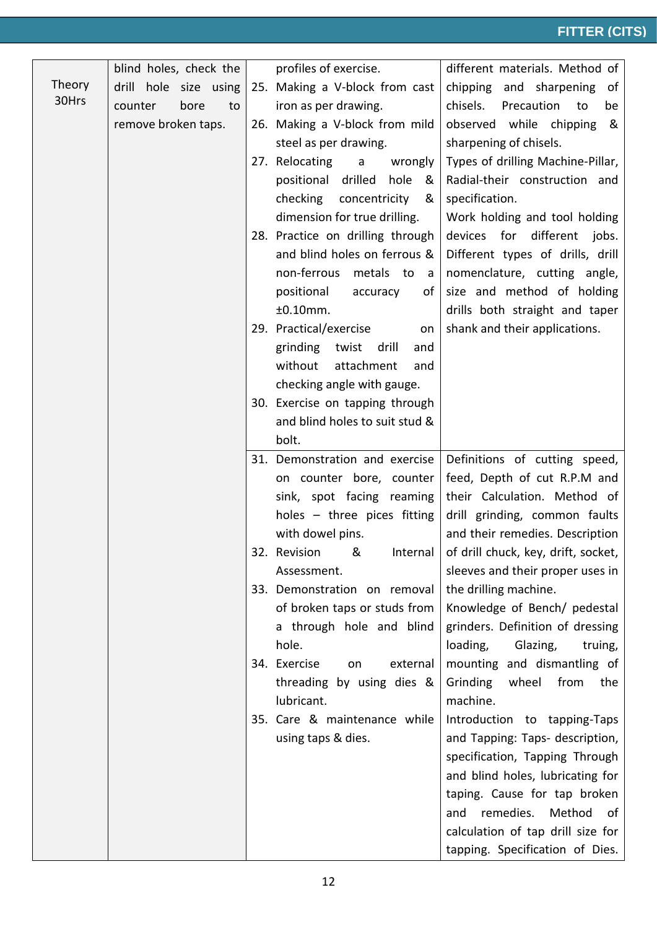|        | blind holes, check the | profiles of exercise.                                    | different materials. Method of                                      |
|--------|------------------------|----------------------------------------------------------|---------------------------------------------------------------------|
| Theory | drill hole size using  | 25. Making a V-block from cast                           | chipping and sharpening of                                          |
| 30Hrs  | counter<br>bore<br>to  | iron as per drawing.                                     | chisels.<br>Precaution<br>to<br>be                                  |
|        | remove broken taps.    | 26. Making a V-block from mild                           | observed while chipping<br>&                                        |
|        |                        | steel as per drawing.                                    | sharpening of chisels.                                              |
|        |                        | 27. Relocating<br>$\mathsf{a}$<br>wrongly                | Types of drilling Machine-Pillar,                                   |
|        |                        | positional drilled<br>hole<br>&                          | Radial-their construction and                                       |
|        |                        | checking<br>concentricity<br>&                           | specification.                                                      |
|        |                        | dimension for true drilling.                             | Work holding and tool holding                                       |
|        |                        | 28. Practice on drilling through                         | devices for different jobs.                                         |
|        |                        | and blind holes on ferrous &                             | Different types of drills, drill                                    |
|        |                        | non-ferrous<br>metals to<br>a a                          | nomenclature, cutting angle,                                        |
|        |                        | positional<br>accuracy<br>of                             | size and method of holding                                          |
|        |                        | ±0.10mm.                                                 | drills both straight and taper                                      |
|        |                        | 29. Practical/exercise<br>on                             | shank and their applications.                                       |
|        |                        | grinding twist<br>drill<br>and                           |                                                                     |
|        |                        | attachment<br>without<br>and                             |                                                                     |
|        |                        | checking angle with gauge.                               |                                                                     |
|        |                        | 30. Exercise on tapping through                          |                                                                     |
|        |                        | and blind holes to suit stud &                           |                                                                     |
|        |                        | bolt.                                                    |                                                                     |
|        |                        | 31. Demonstration and exercise                           | Definitions of cutting speed,                                       |
|        |                        | on counter bore, counter                                 | feed, Depth of cut R.P.M and                                        |
|        |                        | sink, spot facing reaming                                | their Calculation. Method of                                        |
|        |                        | holes - three pices fitting                              | drill grinding, common faults                                       |
|        |                        | with dowel pins.                                         | and their remedies. Description                                     |
|        |                        |                                                          | 32. Revision & Internal of drill chuck, key, drift, socket,         |
|        |                        | Assessment.                                              | sleeves and their proper uses in                                    |
|        |                        | 33. Demonstration on removal                             | the drilling machine.                                               |
|        |                        | of broken taps or studs from<br>a through hole and blind | Knowledge of Bench/ pedestal                                        |
|        |                        | hole.                                                    | grinders. Definition of dressing<br>loading,<br>Glazing,<br>truing, |
|        |                        | 34. Exercise<br>external<br>on                           | mounting and dismantling of                                         |
|        |                        | threading by using dies &                                | Grinding<br>wheel<br>from<br>the                                    |
|        |                        | lubricant.                                               | machine.                                                            |
|        |                        | 35. Care & maintenance while                             | Introduction to tapping-Taps                                        |
|        |                        | using taps & dies.                                       | and Tapping: Taps- description,                                     |
|        |                        |                                                          | specification, Tapping Through                                      |
|        |                        |                                                          | and blind holes, lubricating for                                    |
|        |                        |                                                          | taping. Cause for tap broken                                        |
|        |                        |                                                          | remedies.<br>Method of<br>and                                       |
|        |                        |                                                          | calculation of tap drill size for                                   |
|        |                        |                                                          | tapping. Specification of Dies.                                     |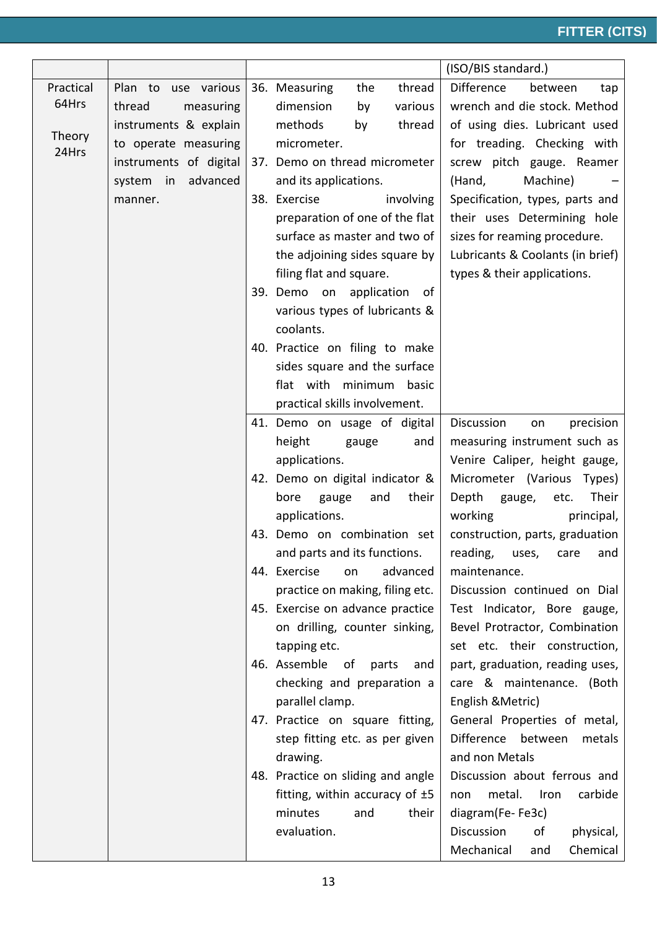|           |                        |                                   | (ISO/BIS standard.)              |
|-----------|------------------------|-----------------------------------|----------------------------------|
| Practical | Plan to use various    | thread<br>36. Measuring<br>the    | Difference<br>between<br>tap     |
| 64Hrs     | thread<br>measuring    | dimension<br>various<br>by        | wrench and die stock. Method     |
|           | instruments & explain  | methods<br>thread<br>by           | of using dies. Lubricant used    |
| Theory    | to operate measuring   | micrometer.                       | for treading. Checking with      |
| 24Hrs     | instruments of digital | 37. Demo on thread micrometer     | screw pitch gauge. Reamer        |
|           | system in<br>advanced  | and its applications.             | (Hand,<br>Machine)               |
|           | manner.                | 38. Exercise<br>involving         | Specification, types, parts and  |
|           |                        | preparation of one of the flat    | their uses Determining hole      |
|           |                        | surface as master and two of      | sizes for reaming procedure.     |
|           |                        | the adjoining sides square by     | Lubricants & Coolants (in brief) |
|           |                        | filing flat and square.           | types & their applications.      |
|           |                        | 39. Demo on application<br>0f     |                                  |
|           |                        | various types of lubricants &     |                                  |
|           |                        | coolants.                         |                                  |
|           |                        | 40. Practice on filing to make    |                                  |
|           |                        | sides square and the surface      |                                  |
|           |                        | flat with minimum basic           |                                  |
|           |                        | practical skills involvement.     |                                  |
|           |                        | 41. Demo on usage of digital      | Discussion<br>precision<br>on    |
|           |                        | height<br>gauge<br>and            | measuring instrument such as     |
|           |                        | applications.                     | Venire Caliper, height gauge,    |
|           |                        | 42. Demo on digital indicator &   | Micrometer (Various<br>Types)    |
|           |                        | their<br>and<br>bore<br>gauge     | Their<br>Depth<br>gauge,<br>etc. |
|           |                        | applications.                     | working<br>principal,            |
|           |                        | 43. Demo on combination set       | construction, parts, graduation  |
|           |                        | and parts and its functions.      | reading, uses, care and          |
|           |                        | 44. Exercise<br>advanced<br>on    | maintenance.                     |
|           |                        | practice on making, filing etc.   | Discussion continued on Dial     |
|           |                        | 45. Exercise on advance practice  | Test Indicator, Bore gauge,      |
|           |                        | on drilling, counter sinking,     | Bevel Protractor, Combination    |
|           |                        | tapping etc.                      | set etc. their construction,     |
|           |                        | 46. Assemble of parts<br>and      | part, graduation, reading uses,  |
|           |                        | checking and preparation a        | care & maintenance. (Both        |
|           |                        | parallel clamp.                   | English & Metric)                |
|           |                        | 47. Practice on square fitting,   | General Properties of metal,     |
|           |                        | step fitting etc. as per given    | Difference between<br>metals     |
|           |                        | drawing.                          | and non Metals                   |
|           |                        | 48. Practice on sliding and angle | Discussion about ferrous and     |
|           |                        | fitting, within accuracy of $±5$  | metal.<br>Iron<br>carbide<br>non |
|           |                        | minutes<br>their<br>and           | diagram(Fe-Fe3c)                 |
|           |                        | evaluation.                       | Discussion<br>physical,<br>οf    |
|           |                        |                                   | Mechanical<br>Chemical<br>and    |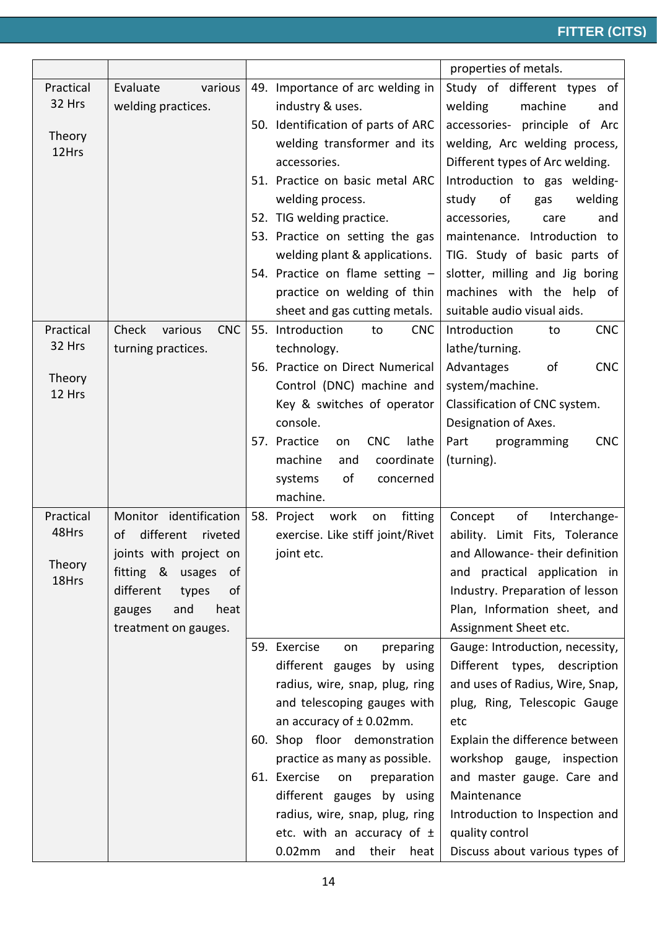|                  |                                |                                                              | properties of metals.                                           |
|------------------|--------------------------------|--------------------------------------------------------------|-----------------------------------------------------------------|
| Practical        | various<br>Evaluate            | 49. Importance of arc welding in                             | Study of different types of                                     |
| 32 Hrs           | welding practices.             | industry & uses.                                             | welding<br>machine<br>and                                       |
|                  |                                | 50. Identification of parts of ARC                           | principle of Arc<br>accessories-                                |
| Theory           |                                | welding transformer and its                                  | welding, Arc welding process,                                   |
| 12Hrs            |                                | accessories.                                                 | Different types of Arc welding.                                 |
|                  |                                | 51. Practice on basic metal ARC                              | Introduction to gas welding-                                    |
|                  |                                | welding process.                                             | of<br>study<br>welding<br>gas                                   |
|                  |                                | 52. TIG welding practice.                                    | accessories,<br>and<br>care                                     |
|                  |                                | 53. Practice on setting the gas                              | maintenance. Introduction to                                    |
|                  |                                | welding plant & applications.                                | TIG. Study of basic parts of                                    |
|                  |                                | 54. Practice on flame setting -                              | slotter, milling and Jig boring                                 |
|                  |                                | practice on welding of thin                                  | machines with the help of                                       |
|                  |                                | sheet and gas cutting metals.                                | suitable audio visual aids.                                     |
| Practical        | <b>CNC</b><br>Check<br>various | 55. Introduction<br><b>CNC</b><br>to                         | Introduction<br><b>CNC</b><br>to                                |
| 32 Hrs           | turning practices.             | technology.                                                  | lathe/turning.                                                  |
|                  |                                | 56. Practice on Direct Numerical                             | Advantages<br>of<br><b>CNC</b>                                  |
| Theory<br>12 Hrs |                                | Control (DNC) machine and                                    | system/machine.                                                 |
|                  |                                | Key & switches of operator                                   | Classification of CNC system.                                   |
|                  |                                | console.                                                     | Designation of Axes.                                            |
|                  |                                | 57. Practice<br><b>CNC</b><br>lathe<br>on                    | <b>CNC</b><br>Part<br>programming                               |
|                  |                                | machine<br>coordinate<br>and                                 | (turning).                                                      |
|                  |                                | of<br>systems<br>concerned                                   |                                                                 |
|                  |                                | machine.                                                     |                                                                 |
| Practical        | Monitor identification         | fitting<br>58. Project<br>work<br>on                         | Concept<br>of<br>Interchange-                                   |
| 48Hrs            | different<br>οf<br>riveted     | exercise. Like stiff joint/Rivet                             | ability. Limit Fits, Tolerance                                  |
| Theory           | joints with project on         | joint etc.                                                   | and Allowance-their definition                                  |
| 18Hrs            | fitting & usages<br>of         |                                                              | and practical application in                                    |
|                  | different<br>types<br>of       |                                                              | Industry. Preparation of lesson                                 |
|                  | and<br>heat<br>gauges          |                                                              | Plan, Information sheet, and                                    |
|                  | treatment on gauges.           |                                                              | Assignment Sheet etc.                                           |
|                  |                                | 59. Exercise<br>preparing<br>on                              | Gauge: Introduction, necessity,<br>Different types, description |
|                  |                                | different gauges by using<br>radius, wire, snap, plug, ring  | and uses of Radius, Wire, Snap,                                 |
|                  |                                | and telescoping gauges with                                  |                                                                 |
|                  |                                |                                                              | plug, Ring, Telescopic Gauge                                    |
|                  |                                | an accuracy of $\pm$ 0.02mm.<br>60. Shop floor demonstration | etc<br>Explain the difference between                           |
|                  |                                | practice as many as possible.                                | workshop gauge, inspection                                      |
|                  |                                | 61. Exercise<br>on<br>preparation                            | and master gauge. Care and                                      |
|                  |                                | different gauges by using                                    | Maintenance                                                     |
|                  |                                | radius, wire, snap, plug, ring                               | Introduction to Inspection and                                  |
|                  |                                | etc. with an accuracy of $\pm$                               | quality control                                                 |
|                  |                                |                                                              |                                                                 |
|                  |                                | $0.02$ mm<br>and<br>their heat                               | Discuss about various types of                                  |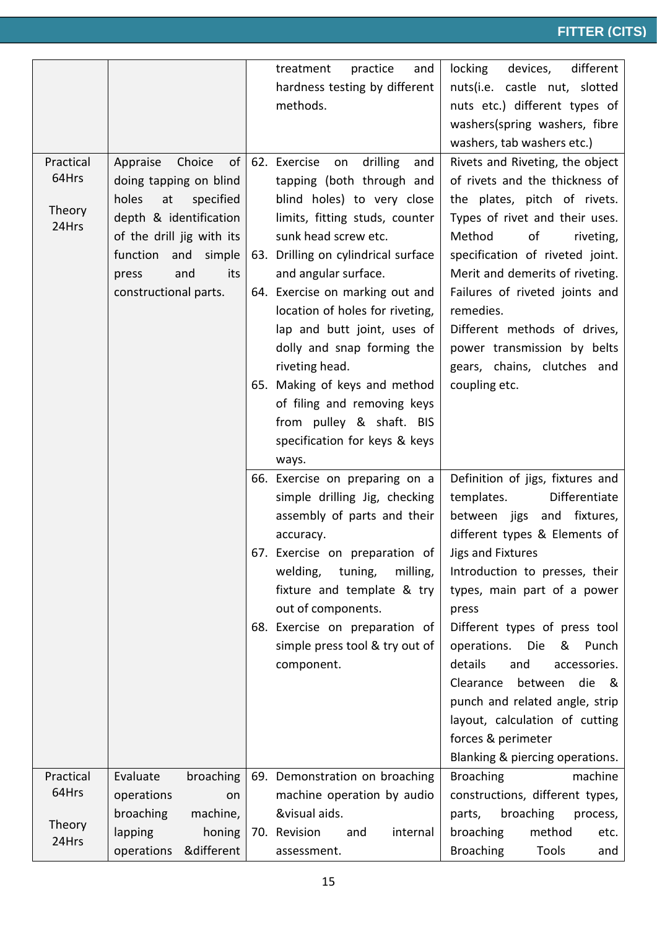|                    |                                               |     | treatment<br>practice<br>and                   | locking<br>devices,<br>different |
|--------------------|-----------------------------------------------|-----|------------------------------------------------|----------------------------------|
|                    |                                               |     | hardness testing by different                  | nuts(i.e. castle nut, slotted    |
|                    |                                               |     | methods.                                       | nuts etc.) different types of    |
|                    |                                               |     |                                                | washers(spring washers, fibre    |
|                    |                                               |     |                                                | washers, tab washers etc.)       |
| Practical          | Choice<br>of<br>Appraise                      |     | 62. Exercise<br>drilling<br>on<br>and          | Rivets and Riveting, the object  |
| 64Hrs              | doing tapping on blind                        |     | tapping (both through and                      | of rivets and the thickness of   |
| Theory             | holes<br>specified<br>at                      |     | blind holes) to very close                     | the plates, pitch of rivets.     |
| 24Hrs              | depth & identification                        |     | limits, fitting studs, counter                 | Types of rivet and their uses.   |
|                    | of the drill jig with its                     |     | sunk head screw etc.                           | of<br>Method<br>riveting,        |
|                    | function<br>and<br>simple                     |     | 63. Drilling on cylindrical surface            | specification of riveted joint.  |
|                    | and<br>its<br>press                           |     | and angular surface.                           | Merit and demerits of riveting.  |
|                    | constructional parts.                         |     | 64. Exercise on marking out and                | Failures of riveted joints and   |
|                    |                                               |     | location of holes for riveting,                | remedies.                        |
|                    |                                               |     | lap and butt joint, uses of                    | Different methods of drives,     |
|                    |                                               |     | dolly and snap forming the                     | power transmission by belts      |
|                    |                                               |     | riveting head.                                 | gears, chains, clutches and      |
|                    |                                               |     | 65. Making of keys and method                  | coupling etc.                    |
|                    |                                               |     | of filing and removing keys                    |                                  |
|                    |                                               |     | from pulley & shaft. BIS                       |                                  |
|                    |                                               |     | specification for keys & keys                  |                                  |
|                    |                                               |     | ways.                                          |                                  |
|                    |                                               |     | 66. Exercise on preparing on a                 | Definition of jigs, fixtures and |
|                    |                                               |     | simple drilling Jig, checking                  | Differentiate<br>templates.      |
|                    |                                               |     | assembly of parts and their                    | between jigs and fixtures,       |
|                    |                                               |     | accuracy.                                      | different types & Elements of    |
|                    |                                               | 67. | Exercise on preparation of   Jigs and Fixtures |                                  |
|                    |                                               |     | milling,<br>welding,<br>tuning,                | Introduction to presses, their   |
|                    |                                               |     | fixture and template & try                     | types, main part of a power      |
|                    |                                               |     | out of components.                             | press                            |
|                    |                                               |     | 68. Exercise on preparation of                 | Different types of press tool    |
|                    |                                               |     | simple press tool & try out of                 | operations.<br>Die<br>&<br>Punch |
|                    |                                               |     | component.                                     | details<br>and<br>accessories.   |
|                    |                                               |     |                                                | Clearance between<br>die &       |
|                    |                                               |     |                                                | punch and related angle, strip   |
|                    |                                               |     |                                                | layout, calculation of cutting   |
|                    |                                               |     |                                                | forces & perimeter               |
|                    |                                               |     |                                                | Blanking & piercing operations.  |
| Practical<br>64Hrs | broaching<br>Evaluate                         |     | 69. Demonstration on broaching                 | <b>Broaching</b><br>machine      |
|                    | operations<br>on                              |     | machine operation by audio                     | constructions, different types,  |
| Theory             | machine,<br>broaching                         |     | &visual aids.                                  | broaching<br>parts,<br>process,  |
| 24Hrs              | lapping<br>honing<br>&different<br>operations |     | 70. Revision<br>internal<br>and                | broaching<br>method<br>etc.      |
|                    |                                               |     | assessment.                                    | <b>Broaching</b><br>Tools<br>and |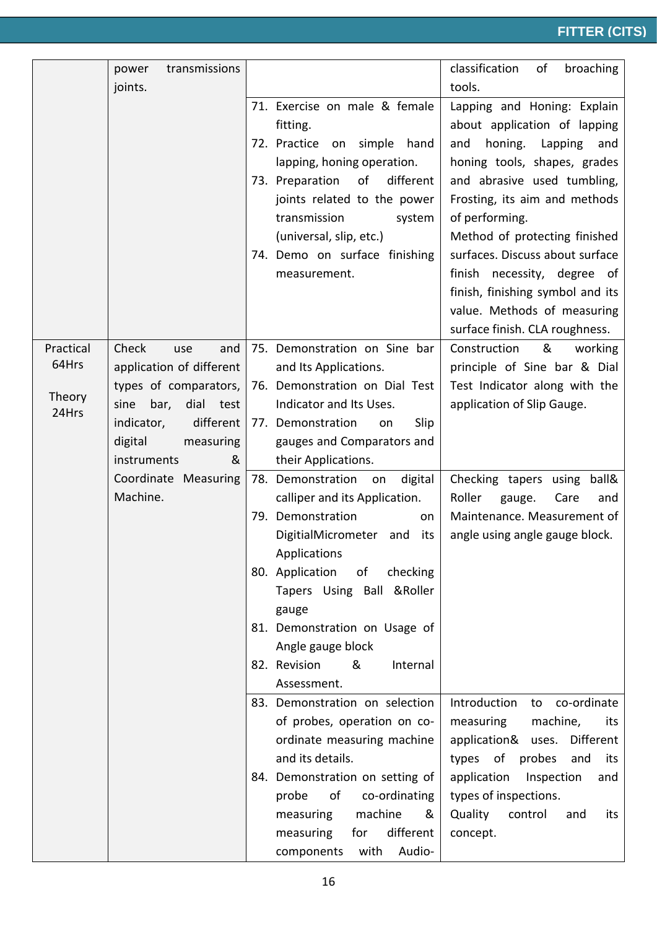|                 | transmissions<br>power    |                                    | classification<br>broaching<br>of |
|-----------------|---------------------------|------------------------------------|-----------------------------------|
|                 | joints.                   |                                    | tools.                            |
|                 |                           | 71. Exercise on male & female      | Lapping and Honing: Explain       |
|                 |                           | fitting.                           | about application of lapping      |
|                 |                           | 72. Practice on<br>simple hand     | and<br>honing.<br>Lapping<br>and  |
|                 |                           | lapping, honing operation.         | honing tools, shapes, grades      |
|                 |                           | of<br>different<br>73. Preparation | and abrasive used tumbling,       |
|                 |                           | joints related to the power        | Frosting, its aim and methods     |
|                 |                           | transmission<br>system             | of performing.                    |
|                 |                           | (universal, slip, etc.)            | Method of protecting finished     |
|                 |                           |                                    | surfaces. Discuss about surface   |
|                 |                           | 74. Demo on surface finishing      |                                   |
|                 |                           | measurement.                       | finish necessity, degree of       |
|                 |                           |                                    | finish, finishing symbol and its  |
|                 |                           |                                    | value. Methods of measuring       |
|                 |                           |                                    | surface finish. CLA roughness.    |
| Practical       | Check<br>and<br>use       | 75. Demonstration on Sine bar      | Construction<br>&<br>working      |
| 64Hrs           | application of different  | and Its Applications.              | principle of Sine bar & Dial      |
|                 | types of comparators,     | 76. Demonstration on Dial Test     | Test Indicator along with the     |
| Theory<br>24Hrs | dial test<br>sine<br>bar, | Indicator and Its Uses.            | application of Slip Gauge.        |
|                 | indicator,<br>different   | Slip<br>77. Demonstration<br>on    |                                   |
|                 | digital<br>measuring      | gauges and Comparators and         |                                   |
|                 | &<br>instruments          | their Applications.                |                                   |
|                 | Coordinate Measuring      | digital<br>78. Demonstration on    | ball&<br>Checking tapers using    |
|                 | Machine.                  | calliper and its Application.      | Roller<br>gauge.<br>Care<br>and   |
|                 |                           | 79. Demonstration<br>on            | Maintenance. Measurement of       |
|                 |                           | DigitialMicrometer<br>its<br>and   | angle using angle gauge block.    |
|                 |                           | Applications                       |                                   |
|                 |                           | 80. Application<br>checking<br>of  |                                   |
|                 |                           | Tapers Using Ball &Roller          |                                   |
|                 |                           | gauge                              |                                   |
|                 |                           | 81. Demonstration on Usage of      |                                   |
|                 |                           | Angle gauge block                  |                                   |
|                 |                           | 82. Revision<br>&<br>Internal      |                                   |
|                 |                           | Assessment.                        |                                   |
|                 |                           | 83. Demonstration on selection     | Introduction<br>to co-ordinate    |
|                 |                           | of probes, operation on co-        | measuring<br>machine,<br>its      |
|                 |                           | ordinate measuring machine         | application& uses.<br>Different   |
|                 |                           | and its details.                   | probes<br>types of<br>and<br>its  |
|                 |                           | 84. Demonstration on setting of    | application<br>Inspection<br>and  |
|                 |                           | of<br>co-ordinating<br>probe       | types of inspections.             |
|                 |                           | machine<br>measuring<br>&          | Quality<br>control<br>and<br>its  |
|                 |                           | different<br>measuring<br>for      | concept.                          |
|                 |                           |                                    |                                   |
|                 |                           | with<br>Audio-<br>components       |                                   |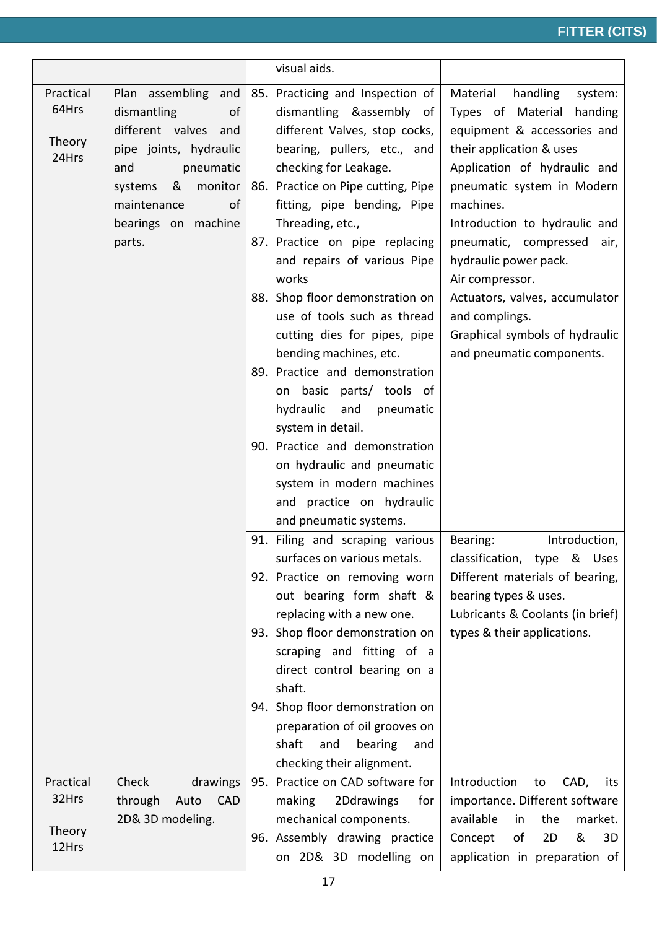|                                       |                                                                                                                                                                                                 | visual aids.                                                                                                                                                                                                                                                                                                                                                                                                                                                                                                                                                                                                                                                          |                                                                                                                                                                                                                                                                                                                                                                                                                                     |
|---------------------------------------|-------------------------------------------------------------------------------------------------------------------------------------------------------------------------------------------------|-----------------------------------------------------------------------------------------------------------------------------------------------------------------------------------------------------------------------------------------------------------------------------------------------------------------------------------------------------------------------------------------------------------------------------------------------------------------------------------------------------------------------------------------------------------------------------------------------------------------------------------------------------------------------|-------------------------------------------------------------------------------------------------------------------------------------------------------------------------------------------------------------------------------------------------------------------------------------------------------------------------------------------------------------------------------------------------------------------------------------|
| Practical<br>64Hrs<br>Theory<br>24Hrs | Plan assembling and<br>dismantling<br>of<br>different valves and<br>pipe joints, hydraulic<br>and<br>pneumatic<br>monitor<br>&<br>systems<br>of<br>maintenance<br>bearings on machine<br>parts. | 85. Practicing and Inspection of<br>dismantling &assembly of<br>different Valves, stop cocks,<br>bearing, pullers, etc., and<br>checking for Leakage.<br>86. Practice on Pipe cutting, Pipe<br>fitting, pipe bending, Pipe<br>Threading, etc.,<br>87. Practice on pipe replacing<br>and repairs of various Pipe<br>works<br>88. Shop floor demonstration on<br>use of tools such as thread<br>cutting dies for pipes, pipe<br>bending machines, etc.<br>89. Practice and demonstration<br>on basic parts/ tools of<br>hydraulic<br>and<br>pneumatic<br>system in detail.<br>90. Practice and demonstration<br>on hydraulic and pneumatic<br>system in modern machines | Material<br>handling<br>system:<br>Types of Material handing<br>equipment & accessories and<br>their application & uses<br>Application of hydraulic and<br>pneumatic system in Modern<br>machines.<br>Introduction to hydraulic and<br>pneumatic, compressed<br>air,<br>hydraulic power pack.<br>Air compressor.<br>Actuators, valves, accumulator<br>and complings.<br>Graphical symbols of hydraulic<br>and pneumatic components. |
|                                       |                                                                                                                                                                                                 | and practice on hydraulic<br>and pneumatic systems.<br>91. Filing and scraping various<br>surfaces on various metals.<br>92. Practice on removing worn<br>out bearing form shaft &<br>replacing with a new one.<br>93. Shop floor demonstration on<br>scraping and fitting of a<br>direct control bearing on a<br>shaft.<br>94. Shop floor demonstration on<br>preparation of oil grooves on<br>shaft<br>and<br>bearing<br>and<br>checking their alignment.                                                                                                                                                                                                           | Introduction,<br>Bearing:<br>classification, type & Uses<br>Different materials of bearing,<br>bearing types & uses.<br>Lubricants & Coolants (in brief)<br>types & their applications.                                                                                                                                                                                                                                             |
| Practical                             | Check<br>drawings                                                                                                                                                                               | 95. Practice on CAD software for                                                                                                                                                                                                                                                                                                                                                                                                                                                                                                                                                                                                                                      | Introduction<br>CAD,<br>to<br>its                                                                                                                                                                                                                                                                                                                                                                                                   |
| 32Hrs                                 | through<br><b>CAD</b><br>Auto                                                                                                                                                                   | making<br>2Ddrawings<br>for                                                                                                                                                                                                                                                                                                                                                                                                                                                                                                                                                                                                                                           | importance. Different software                                                                                                                                                                                                                                                                                                                                                                                                      |
| Theory<br>12Hrs                       | 2D& 3D modeling.                                                                                                                                                                                | mechanical components.<br>96. Assembly drawing practice<br>on 2D& 3D modelling on                                                                                                                                                                                                                                                                                                                                                                                                                                                                                                                                                                                     | available<br>in<br>the<br>market.<br>of<br>2D<br>&<br>3D<br>Concept<br>application in preparation of                                                                                                                                                                                                                                                                                                                                |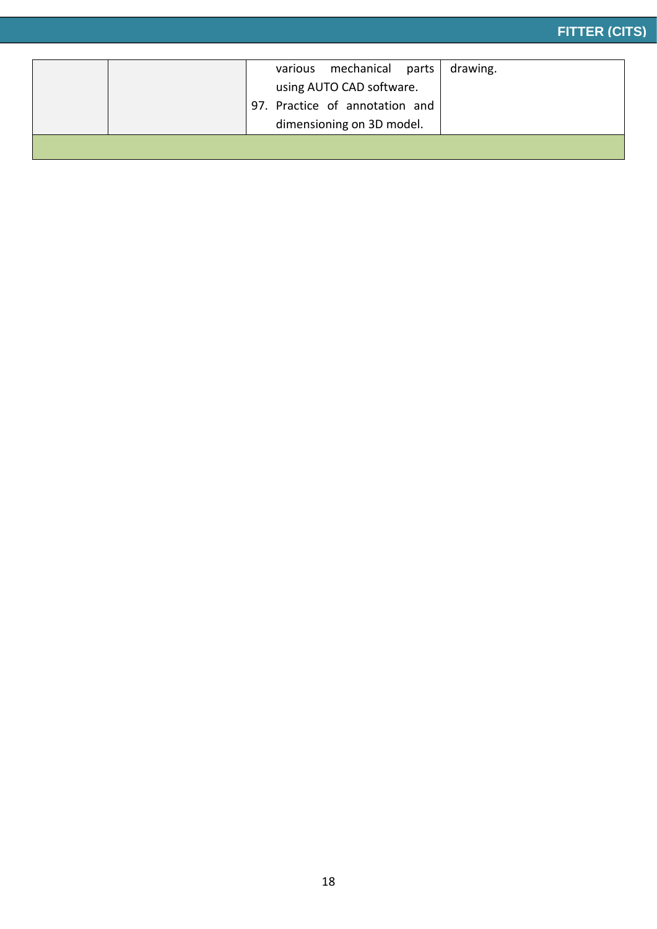|  |  | various mechanical parts<br>using AUTO CAD software.<br>97. Practice of annotation and<br>dimensioning on 3D model. | drawing. |
|--|--|---------------------------------------------------------------------------------------------------------------------|----------|
|  |  |                                                                                                                     |          |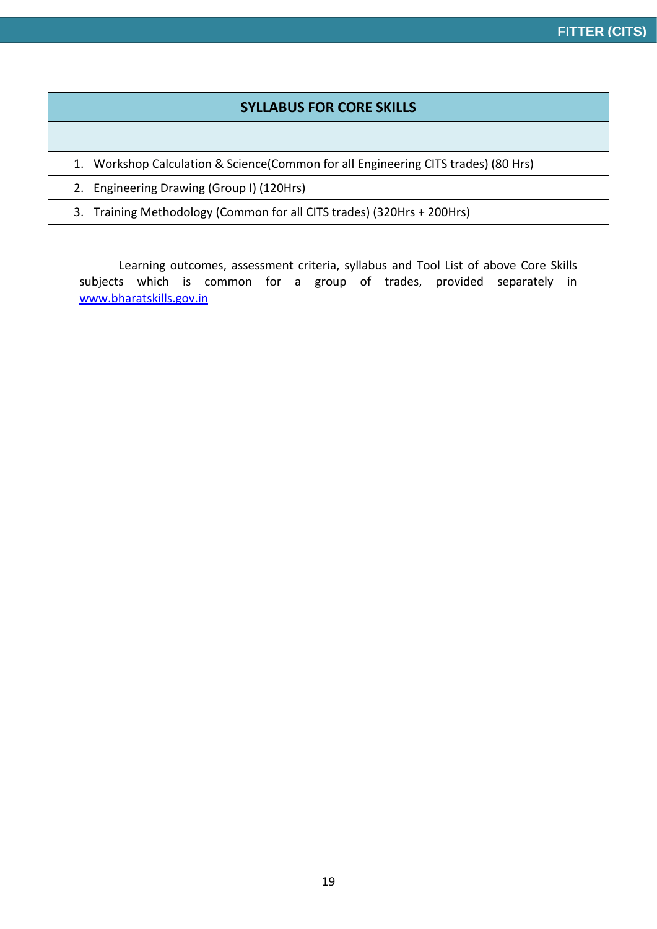#### **SYLLABUS FOR CORE SKILLS**

1. Workshop Calculation & Science(Common for all Engineering CITS trades) (80 Hrs)

2. Engineering Drawing (Group I) (120Hrs)

3. Training Methodology (Common for all CITS trades) (320Hrs + 200Hrs)

Learning outcomes, assessment criteria, syllabus and Tool List of above Core Skills subjects which is common for a group of trades, provided separately in [www.bharatskills.gov.in](http://www.bharatskills.gov.in/)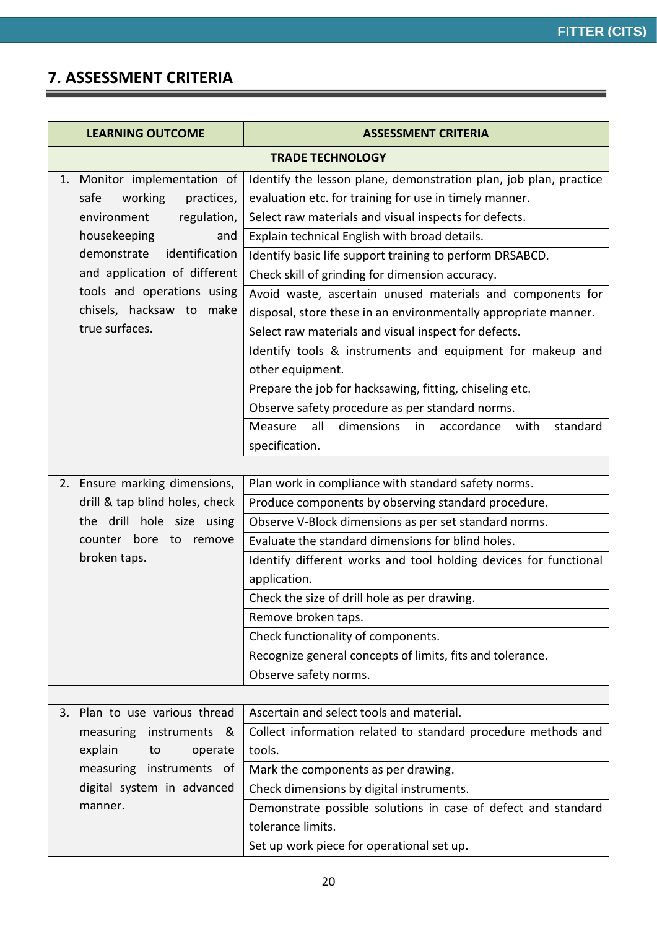### **7. ASSESSMENT CRITERIA**

 $\equiv$ 

| <b>LEARNING OUTCOME</b>        | <b>ASSESSMENT CRITERIA</b>                                           |  |  |  |
|--------------------------------|----------------------------------------------------------------------|--|--|--|
| <b>TRADE TECHNOLOGY</b>        |                                                                      |  |  |  |
| 1. Monitor implementation of   | Identify the lesson plane, demonstration plan, job plan, practice    |  |  |  |
| safe<br>working<br>practices,  | evaluation etc. for training for use in timely manner.               |  |  |  |
| regulation,<br>environment     | Select raw materials and visual inspects for defects.                |  |  |  |
| housekeeping<br>and            | Explain technical English with broad details.                        |  |  |  |
| demonstrate<br>identification  | Identify basic life support training to perform DRSABCD.             |  |  |  |
| and application of different   | Check skill of grinding for dimension accuracy.                      |  |  |  |
| tools and operations using     | Avoid waste, ascertain unused materials and components for           |  |  |  |
| chisels, hacksaw to make       | disposal, store these in an environmentally appropriate manner.      |  |  |  |
| true surfaces.                 | Select raw materials and visual inspect for defects.                 |  |  |  |
|                                | Identify tools & instruments and equipment for makeup and            |  |  |  |
|                                | other equipment.                                                     |  |  |  |
|                                | Prepare the job for hacksawing, fitting, chiseling etc.              |  |  |  |
|                                | Observe safety procedure as per standard norms.                      |  |  |  |
|                                | dimensions<br>Measure<br>all<br>accordance<br>with<br>standard<br>in |  |  |  |
|                                | specification.                                                       |  |  |  |
|                                |                                                                      |  |  |  |
| 2. Ensure marking dimensions,  | Plan work in compliance with standard safety norms.                  |  |  |  |
| drill & tap blind holes, check | Produce components by observing standard procedure.                  |  |  |  |
| the drill hole size using      | Observe V-Block dimensions as per set standard norms.                |  |  |  |
| bore to remove<br>counter      | Evaluate the standard dimensions for blind holes.                    |  |  |  |
| broken taps.                   | Identify different works and tool holding devices for functional     |  |  |  |
|                                | application.                                                         |  |  |  |
|                                | Check the size of drill hole as per drawing.                         |  |  |  |
|                                | Remove broken taps.                                                  |  |  |  |
|                                | Check functionality of components.                                   |  |  |  |
|                                | Recognize general concepts of limits, fits and tolerance.            |  |  |  |
|                                | Observe safety norms.                                                |  |  |  |
|                                |                                                                      |  |  |  |
| 3. Plan to use various thread  | Ascertain and select tools and material.                             |  |  |  |
| measuring<br>instruments<br>୍ଷ | Collect information related to standard procedure methods and        |  |  |  |
| explain<br>operate<br>to       | tools.                                                               |  |  |  |
| measuring instruments of       | Mark the components as per drawing.                                  |  |  |  |
| digital system in advanced     | Check dimensions by digital instruments.                             |  |  |  |
| manner.                        | Demonstrate possible solutions in case of defect and standard        |  |  |  |
|                                | tolerance limits.                                                    |  |  |  |
|                                | Set up work piece for operational set up.                            |  |  |  |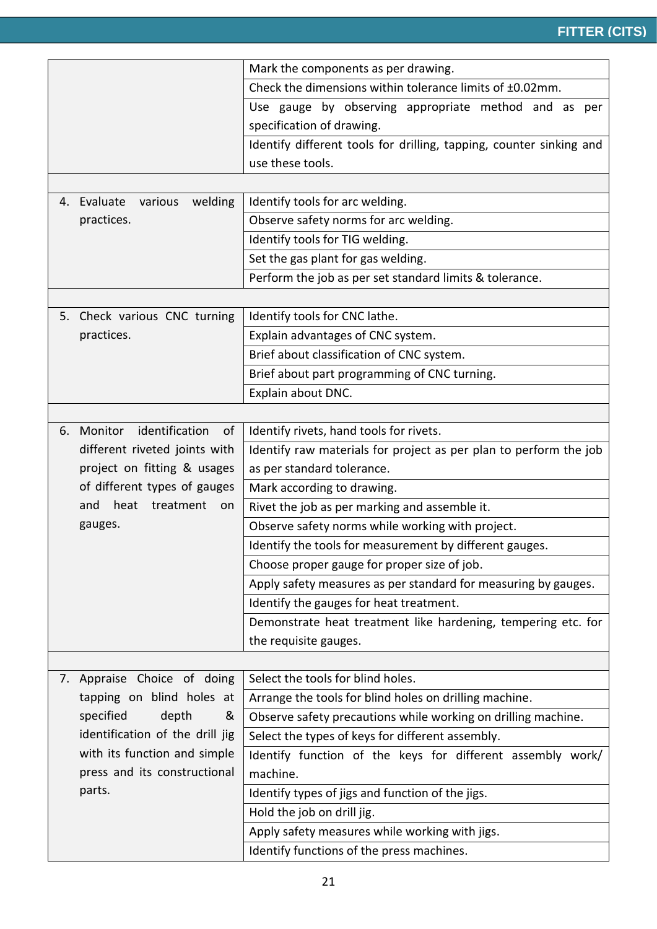|    |                                   | Mark the components as per drawing.                                 |  |  |
|----|-----------------------------------|---------------------------------------------------------------------|--|--|
|    |                                   | Check the dimensions within tolerance limits of ±0.02mm.            |  |  |
|    |                                   | Use gauge by observing appropriate method and as per                |  |  |
|    |                                   | specification of drawing.                                           |  |  |
|    |                                   | Identify different tools for drilling, tapping, counter sinking and |  |  |
|    |                                   | use these tools.                                                    |  |  |
|    |                                   |                                                                     |  |  |
|    | 4. Evaluate<br>various<br>welding | Identify tools for arc welding.                                     |  |  |
|    | practices.                        | Observe safety norms for arc welding.                               |  |  |
|    |                                   | Identify tools for TIG welding.                                     |  |  |
|    |                                   | Set the gas plant for gas welding.                                  |  |  |
|    |                                   | Perform the job as per set standard limits & tolerance.             |  |  |
|    |                                   |                                                                     |  |  |
|    | 5. Check various CNC turning      | Identify tools for CNC lathe.                                       |  |  |
|    | practices.                        | Explain advantages of CNC system.                                   |  |  |
|    |                                   | Brief about classification of CNC system.                           |  |  |
|    |                                   | Brief about part programming of CNC turning.                        |  |  |
|    |                                   | Explain about DNC.                                                  |  |  |
|    |                                   |                                                                     |  |  |
| 6. | Monitor<br>identification<br>of   | Identify rivets, hand tools for rivets.                             |  |  |
|    | different riveted joints with     | Identify raw materials for project as per plan to perform the job   |  |  |
|    | project on fitting & usages       | as per standard tolerance.                                          |  |  |
|    | of different types of gauges      | Mark according to drawing.                                          |  |  |
|    | heat<br>treatment<br>and<br>on    | Rivet the job as per marking and assemble it.                       |  |  |
|    | gauges.                           | Observe safety norms while working with project.                    |  |  |
|    |                                   | Identify the tools for measurement by different gauges.             |  |  |
|    |                                   | Choose proper gauge for proper size of job.                         |  |  |
|    |                                   | Apply safety measures as per standard for measuring by gauges.      |  |  |
|    |                                   | Identify the gauges for heat treatment.                             |  |  |
|    |                                   | Demonstrate heat treatment like hardening, tempering etc. for       |  |  |
|    |                                   | the requisite gauges.                                               |  |  |
|    |                                   |                                                                     |  |  |
|    | 7. Appraise Choice of doing       | Select the tools for blind holes.                                   |  |  |
|    | tapping on blind holes at         | Arrange the tools for blind holes on drilling machine.              |  |  |
|    | specified<br>depth<br>&           | Observe safety precautions while working on drilling machine.       |  |  |
|    | identification of the drill jig   | Select the types of keys for different assembly.                    |  |  |
|    | with its function and simple      | Identify function of the keys for different assembly work/          |  |  |
|    | press and its constructional      | machine.                                                            |  |  |
|    | parts.                            | Identify types of jigs and function of the jigs.                    |  |  |
|    |                                   | Hold the job on drill jig.                                          |  |  |
|    |                                   | Apply safety measures while working with jigs.                      |  |  |
|    |                                   | Identify functions of the press machines.                           |  |  |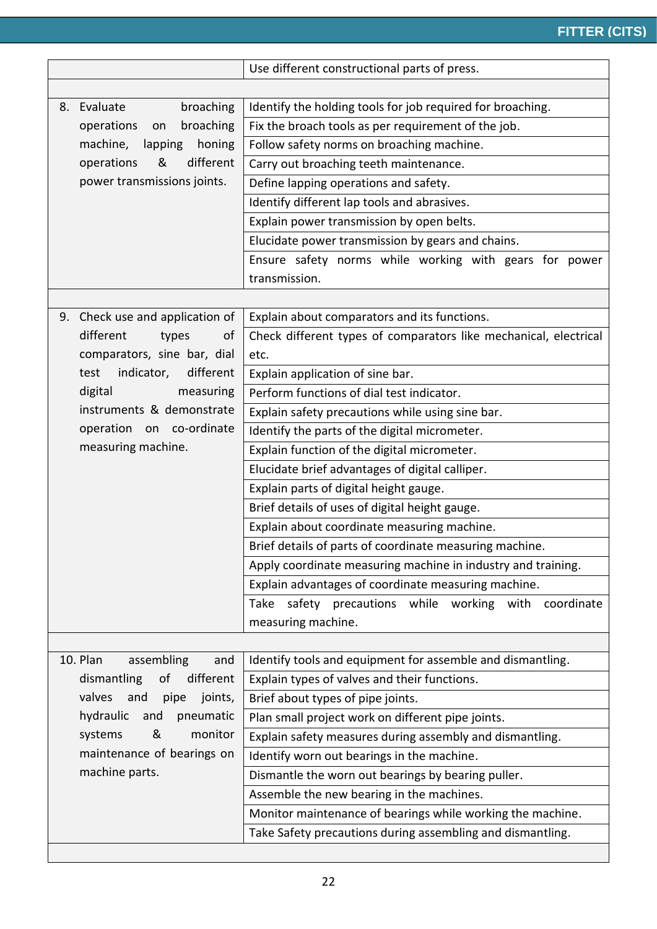|                                                                          |                                    | Use different constructional parts of press.                        |  |  |  |
|--------------------------------------------------------------------------|------------------------------------|---------------------------------------------------------------------|--|--|--|
|                                                                          |                                    |                                                                     |  |  |  |
|                                                                          | broaching<br>8. Evaluate           | Identify the holding tools for job required for broaching.          |  |  |  |
|                                                                          | broaching<br>operations<br>on      | Fix the broach tools as per requirement of the job.                 |  |  |  |
|                                                                          | machine,<br>lapping<br>honing      | Follow safety norms on broaching machine.                           |  |  |  |
|                                                                          | operations<br>&<br>different       | Carry out broaching teeth maintenance.                              |  |  |  |
|                                                                          | power transmissions joints.        | Define lapping operations and safety.                               |  |  |  |
|                                                                          |                                    | Identify different lap tools and abrasives.                         |  |  |  |
|                                                                          |                                    | Explain power transmission by open belts.                           |  |  |  |
|                                                                          |                                    | Elucidate power transmission by gears and chains.                   |  |  |  |
|                                                                          |                                    | Ensure safety norms while working with gears for power              |  |  |  |
|                                                                          |                                    | transmission.                                                       |  |  |  |
|                                                                          |                                    |                                                                     |  |  |  |
| 9.                                                                       | Check use and application of       | Explain about comparators and its functions.                        |  |  |  |
|                                                                          | different<br>types<br>of           | Check different types of comparators like mechanical, electrical    |  |  |  |
|                                                                          | comparators, sine bar, dial        | etc.                                                                |  |  |  |
|                                                                          | indicator,<br>different<br>test    | Explain application of sine bar.                                    |  |  |  |
|                                                                          | digital<br>measuring               | Perform functions of dial test indicator.                           |  |  |  |
|                                                                          | instruments & demonstrate          | Explain safety precautions while using sine bar.                    |  |  |  |
|                                                                          | operation on co-ordinate           | Identify the parts of the digital micrometer.                       |  |  |  |
|                                                                          | measuring machine.                 | Explain function of the digital micrometer.                         |  |  |  |
|                                                                          |                                    | Elucidate brief advantages of digital calliper.                     |  |  |  |
|                                                                          |                                    | Explain parts of digital height gauge.                              |  |  |  |
|                                                                          |                                    | Brief details of uses of digital height gauge.                      |  |  |  |
|                                                                          |                                    | Explain about coordinate measuring machine.                         |  |  |  |
|                                                                          |                                    | Brief details of parts of coordinate measuring machine.             |  |  |  |
|                                                                          |                                    | Apply coordinate measuring machine in industry and training.        |  |  |  |
|                                                                          |                                    | Explain advantages of coordinate measuring machine.                 |  |  |  |
|                                                                          |                                    | Take safety precautions while working with coordinate               |  |  |  |
|                                                                          |                                    | measuring machine.                                                  |  |  |  |
|                                                                          |                                    |                                                                     |  |  |  |
|                                                                          | 10. Plan<br>assembling<br>and      | Identify tools and equipment for assemble and dismantling.          |  |  |  |
|                                                                          | different<br>dismantling<br>of     | Explain types of valves and their functions.                        |  |  |  |
|                                                                          | valves<br>and<br>pipe<br>joints,   | Brief about types of pipe joints.                                   |  |  |  |
|                                                                          | hydraulic<br>and<br>pneumatic<br>& | Plan small project work on different pipe joints.                   |  |  |  |
|                                                                          | systems                            | monitor<br>Explain safety measures during assembly and dismantling. |  |  |  |
| maintenance of bearings on<br>Identify worn out bearings in the machine. |                                    |                                                                     |  |  |  |
|                                                                          | machine parts.                     | Dismantle the worn out bearings by bearing puller.                  |  |  |  |
|                                                                          |                                    | Assemble the new bearing in the machines.                           |  |  |  |
|                                                                          |                                    | Monitor maintenance of bearings while working the machine.          |  |  |  |
|                                                                          |                                    | Take Safety precautions during assembling and dismantling.          |  |  |  |
|                                                                          |                                    |                                                                     |  |  |  |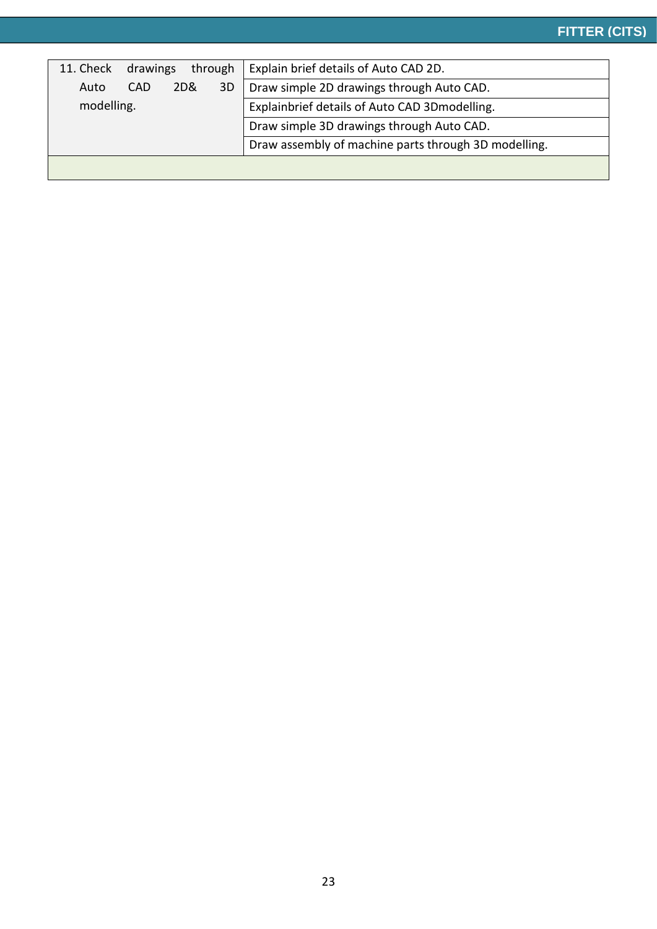| 11. Check<br>through<br>drawings                     | Explain brief details of Auto CAD 2D.          |  |
|------------------------------------------------------|------------------------------------------------|--|
| 3D<br>2D&<br>Auto<br>CAD                             | Draw simple 2D drawings through Auto CAD.      |  |
| modelling.                                           | Explainbrief details of Auto CAD 3D modelling. |  |
|                                                      | Draw simple 3D drawings through Auto CAD.      |  |
| Draw assembly of machine parts through 3D modelling. |                                                |  |
|                                                      |                                                |  |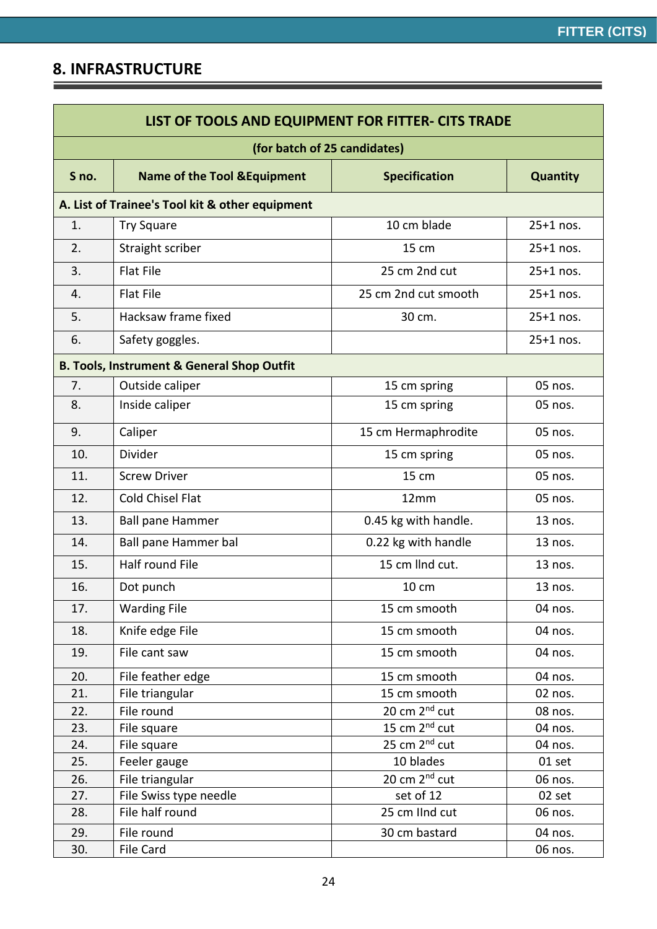═

<u> 1989 - Johann Stoff, deutscher Stoffen und der Stoffen und der Stoffen und der Stoffen und der Stoffen und der</u>

### **8. INFRASTRUCTURE**

| LIST OF TOOLS AND EQUIPMENT FOR FITTER- CITS TRADE |                                                       |                           |                 |  |  |  |
|----------------------------------------------------|-------------------------------------------------------|---------------------------|-----------------|--|--|--|
| (for batch of 25 candidates)                       |                                                       |                           |                 |  |  |  |
| S no.                                              | <b>Name of the Tool &amp; Equipment</b>               | <b>Specification</b>      | <b>Quantity</b> |  |  |  |
|                                                    | A. List of Trainee's Tool kit & other equipment       |                           |                 |  |  |  |
| 1.                                                 | <b>Try Square</b>                                     | 10 cm blade               | 25+1 nos.       |  |  |  |
| 2.                                                 | Straight scriber                                      | 15 cm                     | 25+1 nos.       |  |  |  |
| 3.                                                 | <b>Flat File</b>                                      | 25 cm 2nd cut             | 25+1 nos.       |  |  |  |
| 4.                                                 | <b>Flat File</b>                                      | 25 cm 2nd cut smooth      | 25+1 nos.       |  |  |  |
| 5.                                                 | Hacksaw frame fixed                                   | 30 cm.                    | $25+1$ nos.     |  |  |  |
| 6.                                                 | Safety goggles.                                       |                           | 25+1 nos.       |  |  |  |
|                                                    | <b>B. Tools, Instrument &amp; General Shop Outfit</b> |                           |                 |  |  |  |
| 7.                                                 | Outside caliper                                       | 15 cm spring              | 05 nos.         |  |  |  |
| 8.                                                 | Inside caliper                                        | 15 cm spring              | 05 nos.         |  |  |  |
| 9.                                                 | Caliper                                               | 15 cm Hermaphrodite       | 05 nos.         |  |  |  |
| 10.                                                | Divider                                               | 15 cm spring              | 05 nos.         |  |  |  |
| 11.                                                | <b>Screw Driver</b>                                   | 15 cm                     | 05 nos.         |  |  |  |
| 12.                                                | <b>Cold Chisel Flat</b>                               | 12mm                      | 05 nos.         |  |  |  |
| 13.                                                | <b>Ball pane Hammer</b>                               | 0.45 kg with handle.      | 13 nos.         |  |  |  |
| 14.                                                | Ball pane Hammer bal                                  | 0.22 kg with handle       | 13 nos.         |  |  |  |
| 15.                                                | <b>Half round File</b>                                | 15 cm llnd cut.           | 13 nos.         |  |  |  |
| 16.                                                | Dot punch                                             | 10 cm                     | 13 nos.         |  |  |  |
| 17.                                                | <b>Warding File</b>                                   | 15 cm smooth              | 04 nos.         |  |  |  |
| 18.                                                | Knife edge File                                       | 15 cm smooth              | 04 nos.         |  |  |  |
| 19.                                                | File cant saw                                         | 15 cm smooth              | 04 nos.         |  |  |  |
| 20.                                                | File feather edge                                     | 15 cm smooth              | 04 nos.         |  |  |  |
| 21.                                                | File triangular                                       | 15 cm smooth              | 02 nos.         |  |  |  |
| 22.                                                | File round                                            | 20 cm 2 <sup>nd</sup> cut | 08 nos.         |  |  |  |
| 23.                                                | File square                                           | 15 cm 2 <sup>nd</sup> cut | 04 nos.         |  |  |  |
| 24.                                                | File square                                           | 25 cm 2 <sup>nd</sup> cut | 04 nos.         |  |  |  |
| 25.                                                | Feeler gauge                                          | 10 blades                 | 01 set          |  |  |  |
| 26.                                                | File triangular                                       | 20 cm 2 <sup>nd</sup> cut | 06 nos.         |  |  |  |
| 27.                                                | File Swiss type needle                                | set of 12                 | 02 set          |  |  |  |
| 28.                                                | File half round                                       | 25 cm IInd cut            | 06 nos.         |  |  |  |
| 29.                                                | File round                                            | 30 cm bastard             | 04 nos.         |  |  |  |
| 30.                                                | File Card                                             |                           | 06 nos.         |  |  |  |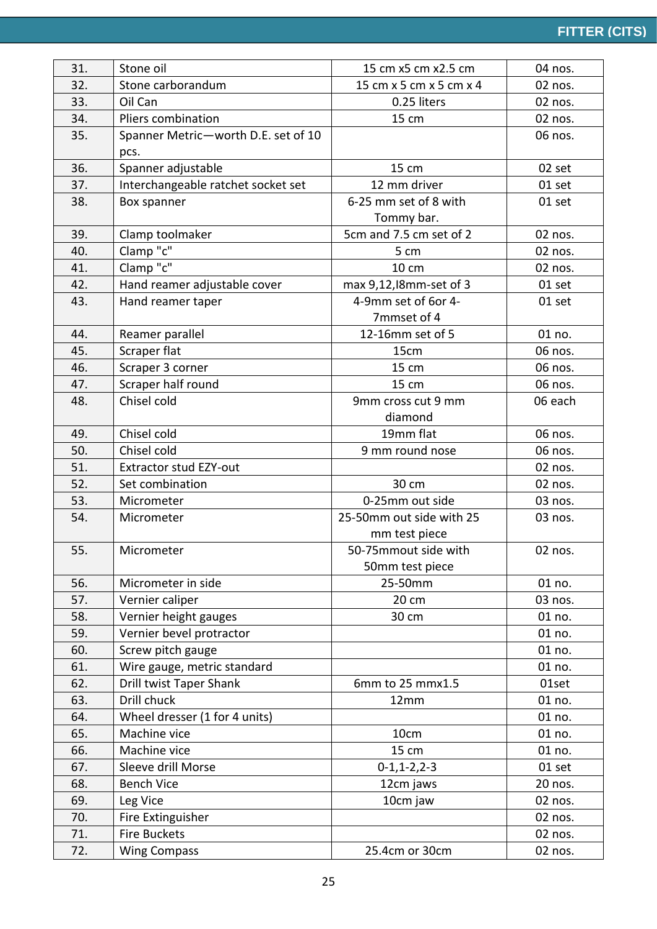| 31. | Stone oil                           | 15 cm x5 cm x2.5 cm      | 04 nos. |
|-----|-------------------------------------|--------------------------|---------|
| 32. | Stone carborandum                   | 15 cm x 5 cm x 5 cm x 4  | 02 nos. |
| 33. | Oil Can                             | 0.25 liters              | 02 nos. |
| 34. | Pliers combination                  | 15 cm                    | 02 nos. |
| 35. | Spanner Metric-worth D.E. set of 10 |                          | 06 nos. |
|     | pcs.                                |                          |         |
| 36. | Spanner adjustable                  | 15 cm                    | 02 set  |
| 37. | Interchangeable ratchet socket set  | 12 mm driver             | 01 set  |
| 38. | Box spanner                         | 6-25 mm set of 8 with    | 01 set  |
|     |                                     | Tommy bar.               |         |
| 39. | Clamp toolmaker                     | 5cm and 7.5 cm set of 2  | 02 nos. |
| 40. | Clamp "c"                           | 5 cm                     | 02 nos. |
| 41. | Clamp "c"                           | 10 cm                    | 02 nos. |
| 42. | Hand reamer adjustable cover        | max 9,12, l8mm-set of 3  | 01 set  |
| 43. | Hand reamer taper                   | 4-9mm set of 6or 4-      | 01 set  |
|     |                                     | 7mmset of 4              |         |
| 44. | Reamer parallel                     | 12-16mm set of 5         | 01 no.  |
| 45. | Scraper flat                        | 15cm                     | 06 nos. |
| 46. | Scraper 3 corner                    | 15 cm                    | 06 nos. |
| 47. | Scraper half round                  | 15 cm                    | 06 nos. |
| 48. | Chisel cold                         | 9mm cross cut 9 mm       | 06 each |
|     |                                     | diamond                  |         |
| 49. | Chisel cold                         | 19mm flat                | 06 nos. |
| 50. | Chisel cold                         | 9 mm round nose          | 06 nos. |
| 51. | <b>Extractor stud EZY-out</b>       |                          | 02 nos. |
| 52. | Set combination                     | 30 cm                    | 02 nos. |
| 53. | Micrometer                          | 0-25mm out side          | 03 nos. |
| 54. | Micrometer                          | 25-50mm out side with 25 | 03 nos. |
|     |                                     | mm test piece            |         |
| 55. | Micrometer                          | 50-75mmout side with     | 02 nos. |
|     |                                     | 50mm test piece          |         |
| 56. | Micrometer in side                  | 25-50mm                  | 01 no.  |
| 57. | Vernier caliper                     | 20 cm                    | 03 nos. |
| 58. | Vernier height gauges               | 30 cm                    | 01 no.  |
| 59. | Vernier bevel protractor            |                          | 01 no.  |
| 60. | Screw pitch gauge                   |                          | 01 no.  |
| 61. | Wire gauge, metric standard         |                          | 01 no.  |
| 62. | Drill twist Taper Shank             | 6mm to 25 mmx1.5         | 01set   |
| 63. | Drill chuck                         | 12mm                     | 01 no.  |
| 64. | Wheel dresser (1 for 4 units)       |                          | 01 no.  |
| 65. | Machine vice                        | 10cm                     | 01 no.  |
| 66. | Machine vice                        | 15 cm                    | 01 no.  |
| 67. | Sleeve drill Morse                  | $0-1, 1-2, 2-3$          | 01 set  |
| 68. | <b>Bench Vice</b>                   | 12cm jaws                | 20 nos. |
| 69. | Leg Vice                            | 10cm jaw                 | 02 nos. |
| 70. | Fire Extinguisher                   |                          | 02 nos. |
| 71. | <b>Fire Buckets</b>                 |                          | 02 nos. |
| 72. | <b>Wing Compass</b>                 | 25.4cm or 30cm           | 02 nos. |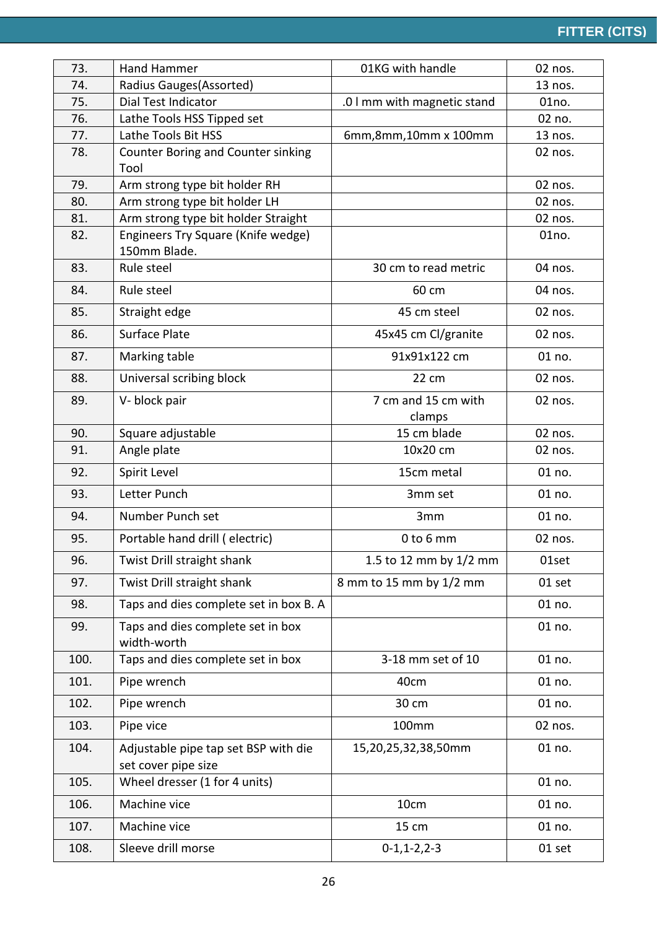| 73.  | Hand Hammer                                                 | 01KG with handle              | 02 nos. |
|------|-------------------------------------------------------------|-------------------------------|---------|
| 74.  | Radius Gauges(Assorted)                                     |                               | 13 nos. |
| 75.  | <b>Dial Test Indicator</b>                                  | .0 I mm with magnetic stand   | 01no.   |
| 76.  | Lathe Tools HSS Tipped set                                  |                               | 02 no.  |
| 77.  | Lathe Tools Bit HSS                                         | 6mm, 8mm, 10mm x 100mm        | 13 nos. |
| 78.  | Counter Boring and Counter sinking<br>Tool                  |                               | 02 nos. |
| 79.  | Arm strong type bit holder RH                               |                               | 02 nos. |
| 80.  | Arm strong type bit holder LH                               |                               | 02 nos. |
| 81.  | Arm strong type bit holder Straight                         |                               | 02 nos. |
| 82.  | Engineers Try Square (Knife wedge)<br>150mm Blade.          |                               | 01no.   |
| 83.  | Rule steel                                                  | 30 cm to read metric          | 04 nos. |
| 84.  | Rule steel                                                  | 60 cm                         | 04 nos. |
| 85.  | Straight edge                                               | 45 cm steel                   | 02 nos. |
| 86.  | Surface Plate                                               | 45x45 cm Cl/granite           | 02 nos. |
| 87.  | Marking table                                               | 91x91x122 cm                  | 01 no.  |
| 88.  | Universal scribing block                                    | 22 cm                         | 02 nos. |
| 89.  | V-block pair                                                | 7 cm and 15 cm with<br>clamps | 02 nos. |
| 90.  | Square adjustable                                           | 15 cm blade                   | 02 nos. |
| 91.  | Angle plate                                                 | 10x20 cm                      | 02 nos. |
| 92.  | Spirit Level                                                | 15cm metal                    | 01 no.  |
| 93.  | Letter Punch                                                | 3mm set                       | 01 no.  |
| 94.  | Number Punch set                                            | 3mm                           | 01 no.  |
| 95.  | Portable hand drill (electric)                              | 0 to 6 mm                     | 02 nos. |
| 96.  | Twist Drill straight shank                                  | 1.5 to 12 mm by 1/2 mm        | 01set   |
| 97.  | Twist Drill straight shank                                  | 8 mm to 15 mm by 1/2 mm       | 01 set  |
| 98.  | Taps and dies complete set in box B. A                      |                               | 01 no.  |
| 99.  | Taps and dies complete set in box<br>width-worth            |                               | 01 no.  |
| 100. | Taps and dies complete set in box                           | 3-18 mm set of 10             | 01 no.  |
| 101. | Pipe wrench                                                 | 40cm                          | 01 no.  |
| 102. | Pipe wrench                                                 | 30 cm                         | 01 no.  |
| 103. | Pipe vice                                                   | 100mm                         | 02 nos. |
| 104. | Adjustable pipe tap set BSP with die<br>set cover pipe size | 15,20,25,32,38,50mm           | 01 no.  |
| 105. | Wheel dresser (1 for 4 units)                               |                               | 01 no.  |
| 106. | Machine vice                                                | 10cm                          | 01 no.  |
| 107. | Machine vice                                                | 15 cm                         | 01 no.  |
| 108. | Sleeve drill morse                                          | $0-1, 1-2, 2-3$               | 01 set  |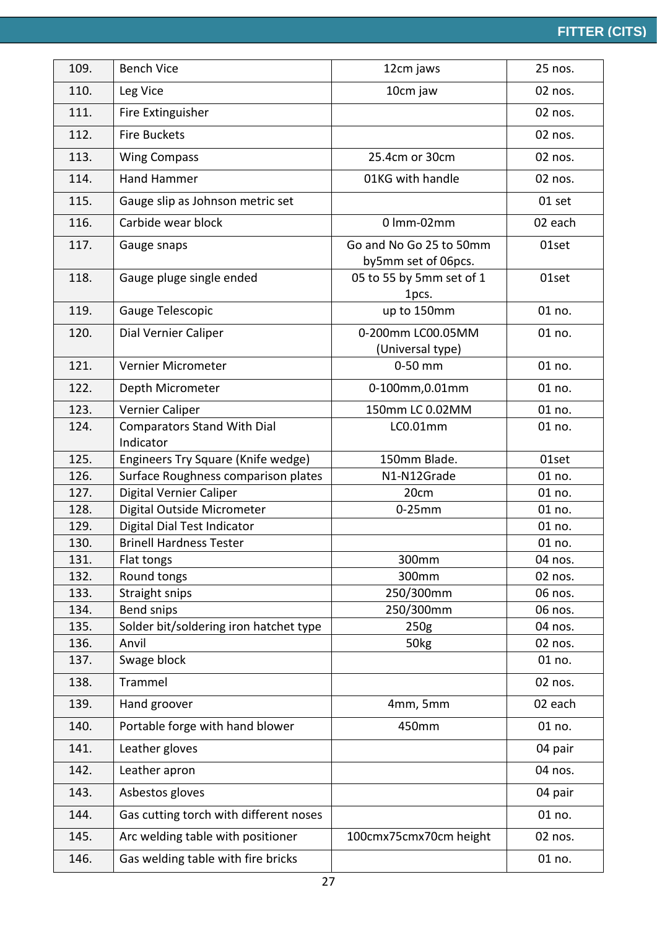| 109. | <b>Bench Vice</b>                               | 12cm jaws                                      | 25 nos. |
|------|-------------------------------------------------|------------------------------------------------|---------|
| 110. | Leg Vice                                        | 10cm jaw                                       | 02 nos. |
| 111. | Fire Extinguisher                               |                                                | 02 nos. |
| 112. | <b>Fire Buckets</b>                             |                                                | 02 nos. |
| 113. | <b>Wing Compass</b>                             | 25.4cm or 30cm                                 | 02 nos. |
| 114. | Hand Hammer                                     | 01KG with handle                               | 02 nos. |
| 115. | Gauge slip as Johnson metric set                |                                                | 01 set  |
| 116. | Carbide wear block                              | 0 lmm-02mm                                     | 02 each |
| 117. | Gauge snaps                                     | Go and No Go 25 to 50mm<br>by5mm set of 06pcs. | 01set   |
| 118. | Gauge pluge single ended                        | 05 to 55 by 5mm set of 1<br>1pcs.              | 01set   |
| 119. | Gauge Telescopic                                | up to 150mm                                    | 01 no.  |
| 120. | Dial Vernier Caliper                            | 0-200mm LC00.05MM<br>(Universal type)          | 01 no.  |
| 121. | Vernier Micrometer                              | 0-50 mm                                        | 01 no.  |
| 122. | Depth Micrometer                                | 0-100mm, 0.01mm                                | 01 no.  |
| 123. | Vernier Caliper                                 | 150mm LC 0.02MM                                | 01 no.  |
| 124. | <b>Comparators Stand With Dial</b><br>Indicator | LC0.01mm                                       | 01 no.  |
| 125. | Engineers Try Square (Knife wedge)              | 150mm Blade.                                   | 01set   |
| 126. | Surface Roughness comparison plates             | N1-N12Grade                                    | 01 no.  |
| 127. | Digital Vernier Caliper                         | 20cm                                           | 01 no.  |
| 128. | Digital Outside Micrometer                      | $0-25$ mm                                      | 01 no.  |
| 129. | Digital Dial Test Indicator                     |                                                | 01 no.  |
| 130. | <b>Brinell Hardness Tester</b>                  |                                                | 01 no.  |
| 131. | Flat tongs                                      | 300mm                                          | 04 nos. |
| 132. | Round tongs                                     | 300mm                                          | 02 nos. |
| 133. | Straight snips                                  | 250/300mm                                      | 06 nos. |
| 134. | Bend snips                                      | 250/300mm                                      | 06 nos. |
| 135. | Solder bit/soldering iron hatchet type          | 250g                                           | 04 nos. |
| 136. | Anvil                                           | 50 <sub>kg</sub>                               | 02 nos. |
| 137. | Swage block                                     |                                                | 01 no.  |
| 138. | Trammel                                         |                                                | 02 nos. |
| 139. | Hand groover                                    | 4mm, 5mm                                       | 02 each |
| 140. | Portable forge with hand blower                 | 450mm                                          | 01 no.  |
| 141. | Leather gloves                                  |                                                | 04 pair |
| 142. | Leather apron                                   |                                                | 04 nos. |
| 143. | Asbestos gloves                                 |                                                | 04 pair |
| 144. | Gas cutting torch with different noses          |                                                | 01 no.  |
| 145. | Arc welding table with positioner               | 100cmx75cmx70cm height                         | 02 nos. |
| 146. | Gas welding table with fire bricks              |                                                | 01 no.  |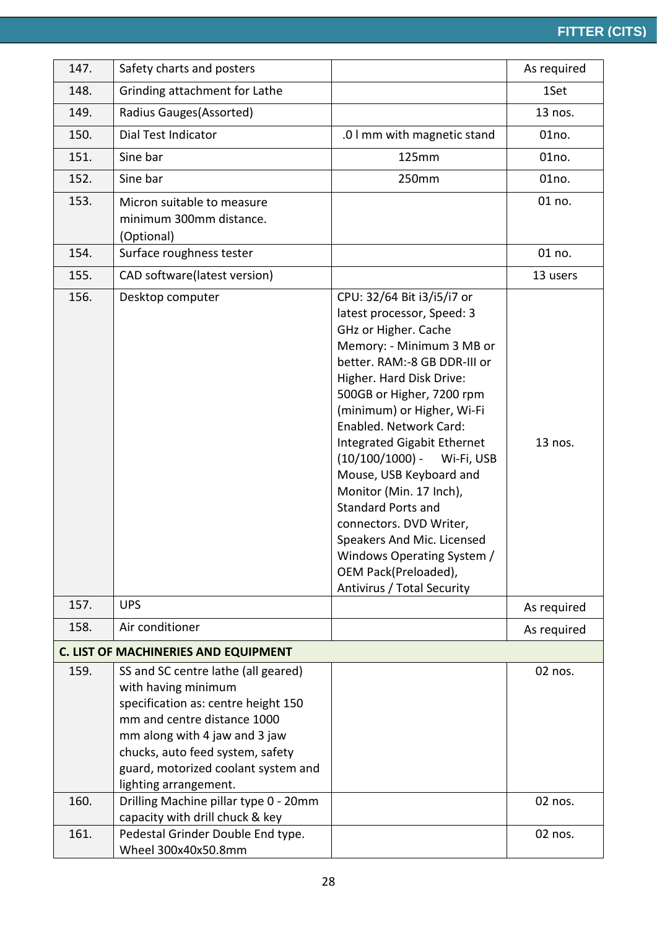| 147.                                        | Safety charts and posters                                                                                                                                                                                                                                             |                                                                                                                                                                                                                                                                                                                                                                                                                                                                                                                                                                  | As required |  |  |
|---------------------------------------------|-----------------------------------------------------------------------------------------------------------------------------------------------------------------------------------------------------------------------------------------------------------------------|------------------------------------------------------------------------------------------------------------------------------------------------------------------------------------------------------------------------------------------------------------------------------------------------------------------------------------------------------------------------------------------------------------------------------------------------------------------------------------------------------------------------------------------------------------------|-------------|--|--|
| 148.                                        | Grinding attachment for Lathe                                                                                                                                                                                                                                         |                                                                                                                                                                                                                                                                                                                                                                                                                                                                                                                                                                  | 1Set        |  |  |
| 149.                                        | Radius Gauges (Assorted)                                                                                                                                                                                                                                              |                                                                                                                                                                                                                                                                                                                                                                                                                                                                                                                                                                  | 13 nos.     |  |  |
| 150.                                        | Dial Test Indicator                                                                                                                                                                                                                                                   | .0 I mm with magnetic stand                                                                                                                                                                                                                                                                                                                                                                                                                                                                                                                                      | 01no.       |  |  |
| 151.                                        | Sine bar                                                                                                                                                                                                                                                              | <b>125mm</b>                                                                                                                                                                                                                                                                                                                                                                                                                                                                                                                                                     | 01no.       |  |  |
| 152.                                        | Sine bar                                                                                                                                                                                                                                                              | 250mm                                                                                                                                                                                                                                                                                                                                                                                                                                                                                                                                                            | 01no.       |  |  |
| 153.                                        | Micron suitable to measure<br>minimum 300mm distance.<br>(Optional)                                                                                                                                                                                                   |                                                                                                                                                                                                                                                                                                                                                                                                                                                                                                                                                                  | 01 no.      |  |  |
| 154.                                        | Surface roughness tester                                                                                                                                                                                                                                              |                                                                                                                                                                                                                                                                                                                                                                                                                                                                                                                                                                  | 01 no.      |  |  |
| 155.                                        | CAD software(latest version)                                                                                                                                                                                                                                          |                                                                                                                                                                                                                                                                                                                                                                                                                                                                                                                                                                  | 13 users    |  |  |
| 156.                                        | Desktop computer                                                                                                                                                                                                                                                      | CPU: 32/64 Bit i3/i5/i7 or<br>latest processor, Speed: 3<br>GHz or Higher. Cache<br>Memory: - Minimum 3 MB or<br>better. RAM:-8 GB DDR-III or<br>Higher. Hard Disk Drive:<br>500GB or Higher, 7200 rpm<br>(minimum) or Higher, Wi-Fi<br>Enabled. Network Card:<br>Integrated Gigabit Ethernet<br>$(10/100/1000)$ -<br>Wi-Fi, USB<br>Mouse, USB Keyboard and<br>Monitor (Min. 17 Inch),<br><b>Standard Ports and</b><br>connectors. DVD Writer,<br>Speakers And Mic. Licensed<br>Windows Operating System /<br>OEM Pack(Preloaded),<br>Antivirus / Total Security | 13 nos.     |  |  |
| 157.                                        | <b>UPS</b>                                                                                                                                                                                                                                                            |                                                                                                                                                                                                                                                                                                                                                                                                                                                                                                                                                                  | As required |  |  |
| 158.                                        | Air conditioner                                                                                                                                                                                                                                                       |                                                                                                                                                                                                                                                                                                                                                                                                                                                                                                                                                                  | As required |  |  |
| <b>C. LIST OF MACHINERIES AND EQUIPMENT</b> |                                                                                                                                                                                                                                                                       |                                                                                                                                                                                                                                                                                                                                                                                                                                                                                                                                                                  |             |  |  |
| 159.                                        | SS and SC centre lathe (all geared)<br>with having minimum<br>specification as: centre height 150<br>mm and centre distance 1000<br>mm along with 4 jaw and 3 jaw<br>chucks, auto feed system, safety<br>guard, motorized coolant system and<br>lighting arrangement. |                                                                                                                                                                                                                                                                                                                                                                                                                                                                                                                                                                  | 02 nos.     |  |  |
| 160.                                        | Drilling Machine pillar type 0 - 20mm<br>capacity with drill chuck & key                                                                                                                                                                                              |                                                                                                                                                                                                                                                                                                                                                                                                                                                                                                                                                                  | 02 nos.     |  |  |
| 161.                                        | Pedestal Grinder Double End type.<br>Wheel 300x40x50.8mm                                                                                                                                                                                                              |                                                                                                                                                                                                                                                                                                                                                                                                                                                                                                                                                                  | 02 nos.     |  |  |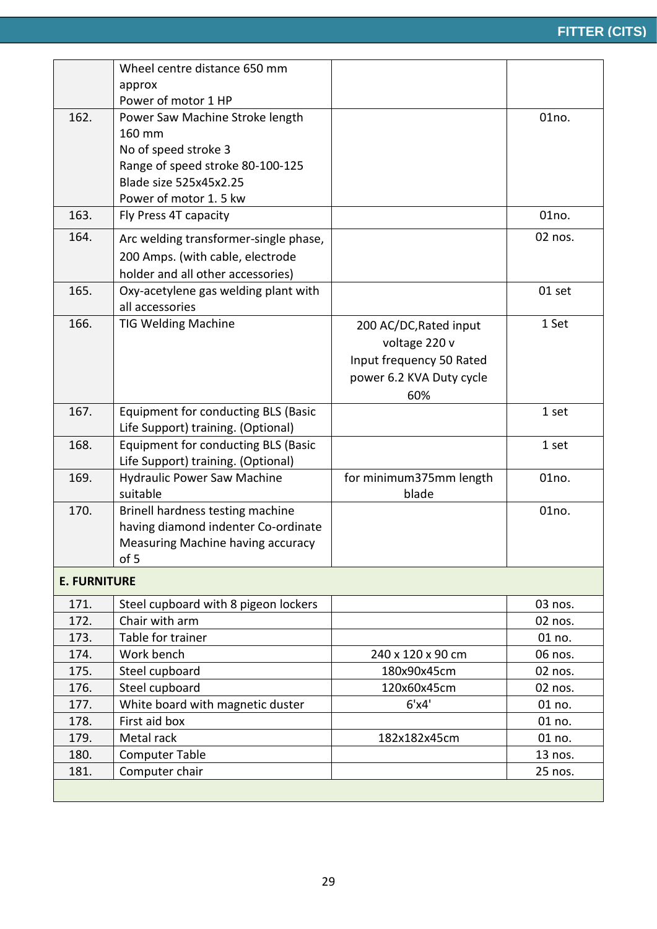|                     | Wheel centre distance 650 mm            |                          |                    |
|---------------------|-----------------------------------------|--------------------------|--------------------|
|                     | approx                                  |                          |                    |
|                     | Power of motor 1 HP                     |                          |                    |
| 162.                | Power Saw Machine Stroke length         |                          | 01no.              |
|                     | 160 mm                                  |                          |                    |
|                     | No of speed stroke 3                    |                          |                    |
|                     | Range of speed stroke 80-100-125        |                          |                    |
|                     | Blade size 525x45x2.25                  |                          |                    |
|                     | Power of motor 1.5 kw                   |                          |                    |
| 163.                | Fly Press 4T capacity                   |                          | 01no.              |
| 164.                | Arc welding transformer-single phase,   |                          | 02 nos.            |
|                     | 200 Amps. (with cable, electrode        |                          |                    |
|                     | holder and all other accessories)       |                          |                    |
| 165.                | Oxy-acetylene gas welding plant with    |                          | 01 set             |
|                     | all accessories                         |                          |                    |
| 166.                | <b>TIG Welding Machine</b>              | 200 AC/DC, Rated input   | 1 Set              |
|                     |                                         | voltage 220 v            |                    |
|                     |                                         | Input frequency 50 Rated |                    |
|                     |                                         | power 6.2 KVA Duty cycle |                    |
|                     |                                         | 60%                      |                    |
| 167.                | Equipment for conducting BLS (Basic     |                          | 1 set              |
|                     | Life Support) training. (Optional)      |                          |                    |
| 168.                | Equipment for conducting BLS (Basic     |                          | 1 set              |
|                     | Life Support) training. (Optional)      |                          |                    |
| 169.                | <b>Hydraulic Power Saw Machine</b>      | for minimum375mm length  | 01no.              |
|                     | suitable                                | blade                    |                    |
| 170.                | Brinell hardness testing machine        |                          | 01 <sub>no</sub> . |
|                     | having diamond indenter Co-ordinate     |                          |                    |
|                     | Measuring Machine having accuracy       |                          |                    |
|                     | of 5                                    |                          |                    |
| <b>E. FURNITURE</b> |                                         |                          |                    |
| 171.                | Steel cupboard with 8 pigeon lockers    |                          | 03 nos.            |
| 172.                | Chair with arm                          |                          | 02 nos.            |
| 173.                | Table for trainer                       |                          | 01 no.             |
| 174.                | Work bench                              | 240 x 120 x 90 cm        | 06 nos.            |
| 175.                | Steel cupboard                          | 180x90x45cm              | 02 nos.            |
| 176.                | Steel cupboard                          | 120x60x45cm              | 02 nos.            |
| 177.                | White board with magnetic duster        | 6'x4'                    | 01 no.             |
| 178.                | First aid box                           |                          | 01 no.             |
|                     | Metal rack                              | 182x182x45cm             | 01 no.             |
| 179.                |                                         |                          |                    |
| 180.<br>181.        | <b>Computer Table</b><br>Computer chair |                          | 13 nos.<br>25 nos. |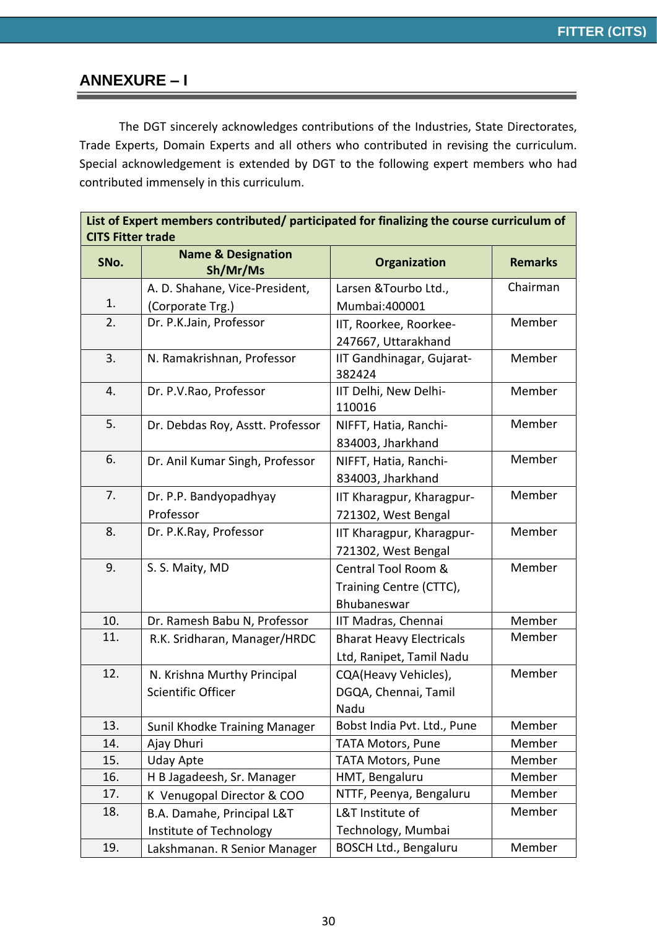### **ANNEXURE – I**

The DGT sincerely acknowledges contributions of the Industries, State Directorates, Trade Experts, Domain Experts and all others who contributed in revising the curriculum. Special acknowledgement is extended by DGT to the following expert members who had contributed immensely in this curriculum.

| List of Expert members contributed/ participated for finalizing the course curriculum of<br><b>CITS Fitter trade</b> |                                           |                                     |                |  |
|----------------------------------------------------------------------------------------------------------------------|-------------------------------------------|-------------------------------------|----------------|--|
| SNo.                                                                                                                 | <b>Name &amp; Designation</b><br>Sh/Mr/Ms | Organization                        | <b>Remarks</b> |  |
|                                                                                                                      | A. D. Shahane, Vice-President,            | Larsen & Tourbo Ltd.,               | Chairman       |  |
| 1.                                                                                                                   | (Corporate Trg.)                          | Mumbai:400001                       |                |  |
| 2.                                                                                                                   | Dr. P.K.Jain, Professor                   | IIT, Roorkee, Roorkee-              | Member         |  |
|                                                                                                                      |                                           | 247667, Uttarakhand                 |                |  |
| 3.                                                                                                                   | N. Ramakrishnan, Professor                | IIT Gandhinagar, Gujarat-<br>382424 | Member         |  |
| 4.                                                                                                                   | Dr. P.V.Rao, Professor                    | IIT Delhi, New Delhi-<br>110016     | Member         |  |
| 5.                                                                                                                   | Dr. Debdas Roy, Asstt. Professor          | NIFFT, Hatia, Ranchi-               | Member         |  |
|                                                                                                                      |                                           | 834003, Jharkhand                   |                |  |
| 6.                                                                                                                   | Dr. Anil Kumar Singh, Professor           | NIFFT, Hatia, Ranchi-               | Member         |  |
|                                                                                                                      |                                           | 834003, Jharkhand                   |                |  |
| 7.                                                                                                                   | Dr. P.P. Bandyopadhyay                    | IIT Kharagpur, Kharagpur-           | Member         |  |
|                                                                                                                      | Professor                                 | 721302, West Bengal                 |                |  |
| 8.                                                                                                                   | Dr. P.K.Ray, Professor                    | IIT Kharagpur, Kharagpur-           | Member         |  |
|                                                                                                                      |                                           | 721302, West Bengal                 |                |  |
| 9.                                                                                                                   | S. S. Maity, MD                           | Central Tool Room &                 | Member         |  |
|                                                                                                                      |                                           | Training Centre (CTTC),             |                |  |
|                                                                                                                      |                                           | Bhubaneswar                         |                |  |
| 10.                                                                                                                  | Dr. Ramesh Babu N, Professor              | IIT Madras, Chennai                 | Member         |  |
| 11.                                                                                                                  | R.K. Sridharan, Manager/HRDC              | <b>Bharat Heavy Electricals</b>     | Member         |  |
|                                                                                                                      |                                           | Ltd, Ranipet, Tamil Nadu            |                |  |
| 12.                                                                                                                  | N. Krishna Murthy Principal               | CQA(Heavy Vehicles),                | Member         |  |
|                                                                                                                      | Scientific Officer                        | DGQA, Chennai, Tamil                |                |  |
|                                                                                                                      |                                           | Nadu                                |                |  |
| 13.                                                                                                                  | Sunil Khodke Training Manager             | Bobst India Pvt. Ltd., Pune         | Member         |  |
| 14.                                                                                                                  | Ajay Dhuri                                | <b>TATA Motors, Pune</b>            | Member         |  |
| 15.                                                                                                                  | <b>Uday Apte</b>                          | <b>TATA Motors, Pune</b>            | Member         |  |
| 16.                                                                                                                  | H B Jagadeesh, Sr. Manager                | HMT, Bengaluru                      | Member         |  |
| 17.                                                                                                                  | K Venugopal Director & COO                | NTTF, Peenya, Bengaluru             | Member         |  |
| 18.                                                                                                                  | B.A. Damahe, Principal L&T                | L&T Institute of                    | Member         |  |
|                                                                                                                      | Institute of Technology                   | Technology, Mumbai                  |                |  |
| 19.                                                                                                                  | Lakshmanan. R Senior Manager              | <b>BOSCH Ltd., Bengaluru</b>        | Member         |  |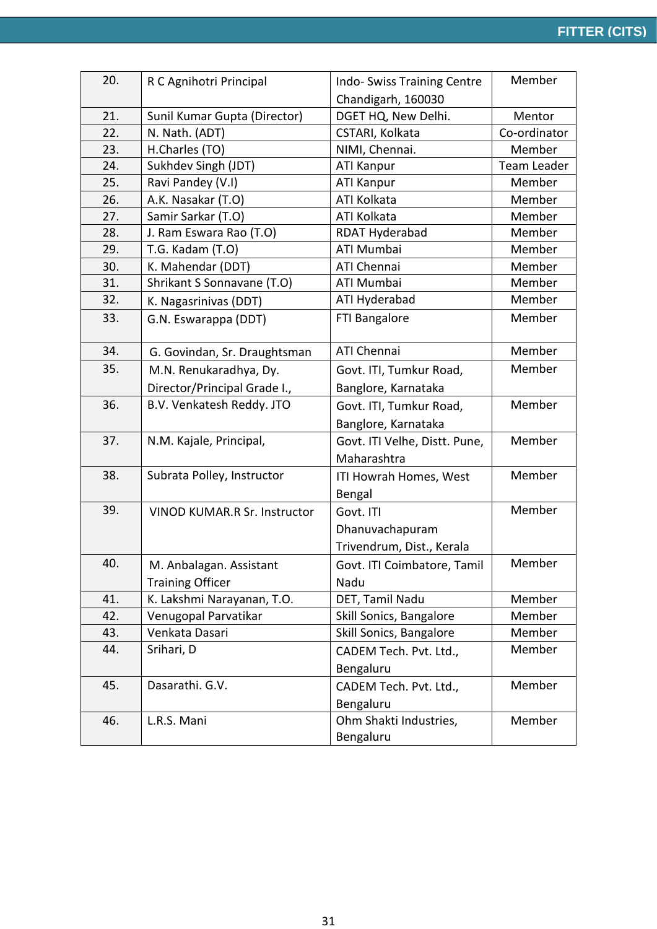| 20. | R C Agnihotri Principal             | Indo-Swiss Training Centre    | Member             |
|-----|-------------------------------------|-------------------------------|--------------------|
|     |                                     | Chandigarh, 160030            |                    |
| 21. | Sunil Kumar Gupta (Director)        | DGET HQ, New Delhi.           | Mentor             |
| 22. | N. Nath. (ADT)                      | CSTARI, Kolkata               | Co-ordinator       |
| 23. | H.Charles (TO)                      | NIMI, Chennai.                | Member             |
| 24. | Sukhdev Singh (JDT)                 | <b>ATI Kanpur</b>             | <b>Team Leader</b> |
| 25. | Ravi Pandey (V.I)                   | <b>ATI Kanpur</b>             | Member             |
| 26. | A.K. Nasakar (T.O)                  | ATI Kolkata                   | Member             |
| 27. | Samir Sarkar (T.O)                  | ATI Kolkata                   | Member             |
| 28. | J. Ram Eswara Rao (T.O)             | RDAT Hyderabad                | Member             |
| 29. | T.G. Kadam (T.O)                    | <b>ATI Mumbai</b>             | Member             |
| 30. | K. Mahendar (DDT)                   | ATI Chennai                   | Member             |
| 31. | Shrikant S Sonnavane (T.O)          | ATI Mumbai                    | Member             |
| 32. | K. Nagasrinivas (DDT)               | ATI Hyderabad                 | Member             |
| 33. | G.N. Eswarappa (DDT)                | FTI Bangalore                 | Member             |
| 34. | G. Govindan, Sr. Draughtsman        | ATI Chennai                   | Member             |
| 35. | M.N. Renukaradhya, Dy.              | Govt. ITI, Tumkur Road,       | Member             |
|     | Director/Principal Grade I.,        | Banglore, Karnataka           |                    |
| 36. | B.V. Venkatesh Reddy. JTO           | Govt. ITI, Tumkur Road,       | Member             |
|     |                                     | Banglore, Karnataka           |                    |
| 37. | N.M. Kajale, Principal,             | Govt. ITI Velhe, Distt. Pune, | Member             |
|     |                                     | Maharashtra                   |                    |
| 38. | Subrata Polley, Instructor          | ITI Howrah Homes, West        | Member             |
|     |                                     | Bengal                        |                    |
| 39. | <b>VINOD KUMAR.R Sr. Instructor</b> | Govt. ITI                     | Member             |
|     |                                     | Dhanuvachapuram               |                    |
|     |                                     | Trivendrum, Dist., Kerala     |                    |
| 40. | M. Anbalagan. Assistant             | Govt. ITI Coimbatore, Tamil   | Member             |
|     | <b>Training Officer</b>             | Nadu                          |                    |
| 41. | K. Lakshmi Narayanan, T.O.          | DET, Tamil Nadu               | Member             |
| 42. | Venugopal Parvatikar                | Skill Sonics, Bangalore       | Member             |
| 43. | Venkata Dasari                      | Skill Sonics, Bangalore       | Member             |
| 44. | Srihari, D                          | CADEM Tech. Pvt. Ltd.,        | Member             |
|     |                                     | Bengaluru                     |                    |
| 45. | Dasarathi. G.V.                     | CADEM Tech. Pvt. Ltd.,        | Member             |
|     |                                     | Bengaluru                     |                    |
| 46. | L.R.S. Mani                         | Ohm Shakti Industries,        | Member             |
|     |                                     | Bengaluru                     |                    |